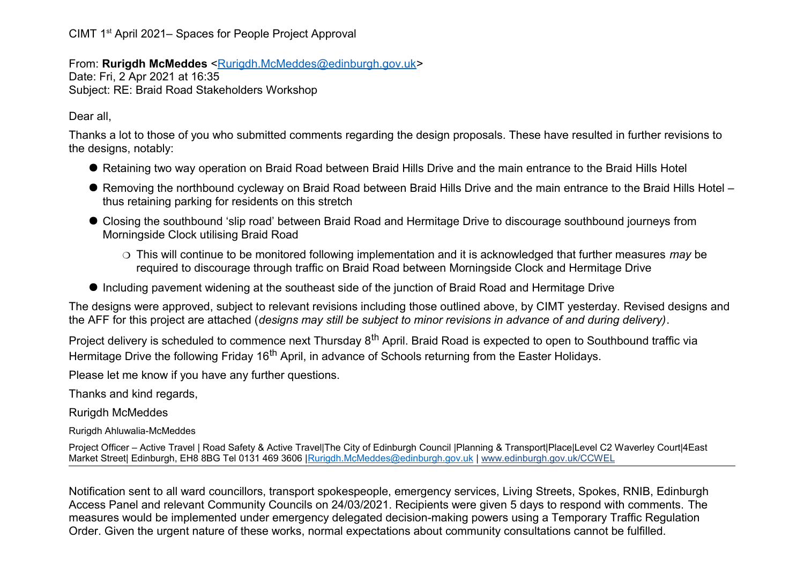CIMT 1st April 2021– Spaces for People Project Approval

From: **Rurigdh McMeddes** [<Rurigdh.McMeddes@edinburgh.gov.uk>](mailto:Rurigdh.McMeddes@edinburgh.gov.uk)

Date: Fri, 2 Apr 2021 at 16:35 Subject: RE: Braid Road Stakeholders Workshop

Dear all,

Thanks a lot to those of you who submitted comments regarding the design proposals. These have resulted in further revisions to the designs, notably:

- Retaining two way operation on Braid Road between Braid Hills Drive and the main entrance to the Braid Hills Hotel
- Removing the northbound cycleway on Braid Road between Braid Hills Drive and the main entrance to the Braid Hills Hotel thus retaining parking for residents on this stretch
- Closing the southbound 'slip road' between Braid Road and Hermitage Drive to discourage southbound journeys from Morningside Clock utilising Braid Road
	- This will continue to be monitored following implementation and it is acknowledged that further measures *may* be required to discourage through traffic on Braid Road between Morningside Clock and Hermitage Drive
- Including pavement widening at the southeast side of the junction of Braid Road and Hermitage Drive

The designs were approved, subject to relevant revisions including those outlined above, by CIMT yesterday. Revised designs and the AFF for this project are attached (*designs may still be subject to minor revisions in advance of and during delivery)*.

Project delivery is scheduled to commence next Thursday 8<sup>th</sup> April. Braid Road is expected to open to Southbound traffic via Hermitage Drive the following Friday 16<sup>th</sup> April, in advance of Schools returning from the Easter Holidays.

Please let me know if you have any further questions.

Thanks and kind regards,

Rurigdh McMeddes

Rurigdh Ahluwalia-McMeddes

Project Officer – Active Travel | Road Safety & Active Travel|The City of Edinburgh Council |Planning & Transport|Place|Level C2 Waverley Court|4East Market Street| Edinburgh, EH8 8BG Tel 0131 469 3606 | Rurigdh.McMeddes@edinburgh.gov.uk | [www.edinburgh.gov.uk/CCWEL](http://www.edinburgh.gov.uk/CCWEL)

Notification sent to all ward councillors, transport spokespeople, emergency services, Living Streets, Spokes, RNIB, Edinburgh Access Panel and relevant Community Councils on 24/03/2021. Recipients were given 5 days to respond with comments. The measures would be implemented under emergency delegated decision-making powers using a Temporary Traffic Regulation Order. Given the urgent nature of these works, normal expectations about community consultations cannot be fulfilled.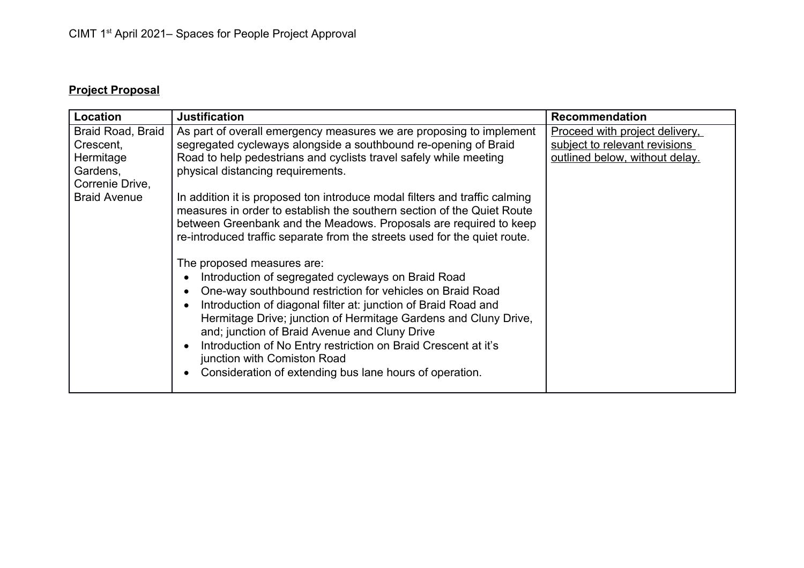## **Project Proposal**

| Location                                                                                          | <b>Justification</b>                                                                                                                                                                                                                                                                                                                                                                                                                                                                                                                                                                                                                                                                                                                                                                                                                                                                                                                                                                                                                                          | <b>Recommendation</b>                                                                                    |
|---------------------------------------------------------------------------------------------------|---------------------------------------------------------------------------------------------------------------------------------------------------------------------------------------------------------------------------------------------------------------------------------------------------------------------------------------------------------------------------------------------------------------------------------------------------------------------------------------------------------------------------------------------------------------------------------------------------------------------------------------------------------------------------------------------------------------------------------------------------------------------------------------------------------------------------------------------------------------------------------------------------------------------------------------------------------------------------------------------------------------------------------------------------------------|----------------------------------------------------------------------------------------------------------|
| Braid Road, Braid<br>Crescent,<br>Hermitage<br>Gardens,<br>Correnie Drive,<br><b>Braid Avenue</b> | As part of overall emergency measures we are proposing to implement<br>segregated cycleways alongside a southbound re-opening of Braid<br>Road to help pedestrians and cyclists travel safely while meeting<br>physical distancing requirements.<br>In addition it is proposed ton introduce modal filters and traffic calming<br>measures in order to establish the southern section of the Quiet Route<br>between Greenbank and the Meadows. Proposals are required to keep<br>re-introduced traffic separate from the streets used for the quiet route.<br>The proposed measures are:<br>Introduction of segregated cycleways on Braid Road<br>One-way southbound restriction for vehicles on Braid Road<br>Introduction of diagonal filter at: junction of Braid Road and<br>Hermitage Drive; junction of Hermitage Gardens and Cluny Drive,<br>and; junction of Braid Avenue and Cluny Drive<br>Introduction of No Entry restriction on Braid Crescent at it's<br>junction with Comiston Road<br>Consideration of extending bus lane hours of operation. | <b>Proceed with project delivery,</b><br>subject to relevant revisions<br>outlined below, without delay. |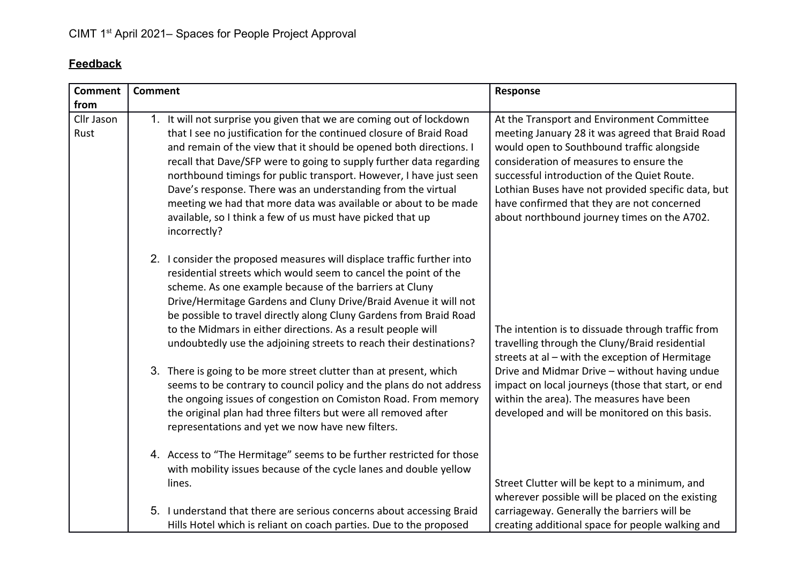## **Feedback**

| <b>Comment</b>             | <b>Comment</b>                                                                                                                                                                                                                                                                                                                                                                                                                                                                                                                                                                  | Response                                                                                                                                                                                                                                                                                                                                                                                  |
|----------------------------|---------------------------------------------------------------------------------------------------------------------------------------------------------------------------------------------------------------------------------------------------------------------------------------------------------------------------------------------------------------------------------------------------------------------------------------------------------------------------------------------------------------------------------------------------------------------------------|-------------------------------------------------------------------------------------------------------------------------------------------------------------------------------------------------------------------------------------------------------------------------------------------------------------------------------------------------------------------------------------------|
| from<br>Cllr Jason<br>Rust | 1. It will not surprise you given that we are coming out of lockdown<br>that I see no justification for the continued closure of Braid Road<br>and remain of the view that it should be opened both directions. I<br>recall that Dave/SFP were to going to supply further data regarding<br>northbound timings for public transport. However, I have just seen<br>Dave's response. There was an understanding from the virtual<br>meeting we had that more data was available or about to be made<br>available, so I think a few of us must have picked that up<br>incorrectly? | At the Transport and Environment Committee<br>meeting January 28 it was agreed that Braid Road<br>would open to Southbound traffic alongside<br>consideration of measures to ensure the<br>successful introduction of the Quiet Route.<br>Lothian Buses have not provided specific data, but<br>have confirmed that they are not concerned<br>about northbound journey times on the A702. |
|                            | 2. I consider the proposed measures will displace traffic further into<br>residential streets which would seem to cancel the point of the<br>scheme. As one example because of the barriers at Cluny<br>Drive/Hermitage Gardens and Cluny Drive/Braid Avenue it will not<br>be possible to travel directly along Cluny Gardens from Braid Road<br>to the Midmars in either directions. As a result people will<br>undoubtedly use the adjoining streets to reach their destinations?                                                                                            | The intention is to dissuade through traffic from<br>travelling through the Cluny/Braid residential<br>streets at al - with the exception of Hermitage                                                                                                                                                                                                                                    |
|                            | 3. There is going to be more street clutter than at present, which<br>seems to be contrary to council policy and the plans do not address<br>the ongoing issues of congestion on Comiston Road. From memory<br>the original plan had three filters but were all removed after<br>representations and yet we now have new filters.                                                                                                                                                                                                                                               | Drive and Midmar Drive - without having undue<br>impact on local journeys (those that start, or end<br>within the area). The measures have been<br>developed and will be monitored on this basis.                                                                                                                                                                                         |
|                            | 4. Access to "The Hermitage" seems to be further restricted for those<br>with mobility issues because of the cycle lanes and double yellow<br>lines.                                                                                                                                                                                                                                                                                                                                                                                                                            | Street Clutter will be kept to a minimum, and<br>wherever possible will be placed on the existing                                                                                                                                                                                                                                                                                         |
|                            | 5. I understand that there are serious concerns about accessing Braid<br>Hills Hotel which is reliant on coach parties. Due to the proposed                                                                                                                                                                                                                                                                                                                                                                                                                                     | carriageway. Generally the barriers will be<br>creating additional space for people walking and                                                                                                                                                                                                                                                                                           |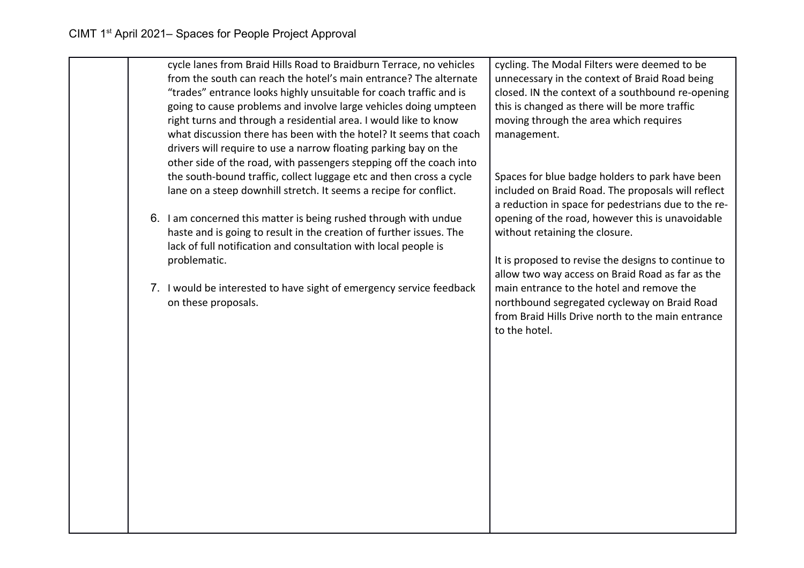|  | cycle lanes from Braid Hills Road to Braidburn Terrace, no vehicles<br>from the south can reach the hotel's main entrance? The alternate | cycling. The Modal Filters were deemed to be<br>unnecessary in the context of Braid Road being |
|--|------------------------------------------------------------------------------------------------------------------------------------------|------------------------------------------------------------------------------------------------|
|  | "trades" entrance looks highly unsuitable for coach traffic and is                                                                       | closed. IN the context of a southbound re-opening                                              |
|  | going to cause problems and involve large vehicles doing umpteen                                                                         | this is changed as there will be more traffic                                                  |
|  | right turns and through a residential area. I would like to know                                                                         | moving through the area which requires                                                         |
|  | what discussion there has been with the hotel? It seems that coach                                                                       | management.                                                                                    |
|  | drivers will require to use a narrow floating parking bay on the                                                                         |                                                                                                |
|  | other side of the road, with passengers stepping off the coach into                                                                      |                                                                                                |
|  | the south-bound traffic, collect luggage etc and then cross a cycle                                                                      | Spaces for blue badge holders to park have been                                                |
|  | lane on a steep downhill stretch. It seems a recipe for conflict.                                                                        | included on Braid Road. The proposals will reflect                                             |
|  |                                                                                                                                          | a reduction in space for pedestrians due to the re-                                            |
|  | 6. I am concerned this matter is being rushed through with undue                                                                         | opening of the road, however this is unavoidable                                               |
|  | haste and is going to result in the creation of further issues. The                                                                      | without retaining the closure.                                                                 |
|  | lack of full notification and consultation with local people is                                                                          |                                                                                                |
|  | problematic.                                                                                                                             | It is proposed to revise the designs to continue to                                            |
|  |                                                                                                                                          | allow two way access on Braid Road as far as the                                               |
|  | 7. I would be interested to have sight of emergency service feedback                                                                     | main entrance to the hotel and remove the                                                      |
|  | on these proposals.                                                                                                                      | northbound segregated cycleway on Braid Road                                                   |
|  |                                                                                                                                          | from Braid Hills Drive north to the main entrance<br>to the hotel.                             |
|  |                                                                                                                                          |                                                                                                |
|  |                                                                                                                                          |                                                                                                |
|  |                                                                                                                                          |                                                                                                |
|  |                                                                                                                                          |                                                                                                |
|  |                                                                                                                                          |                                                                                                |
|  |                                                                                                                                          |                                                                                                |
|  |                                                                                                                                          |                                                                                                |
|  |                                                                                                                                          |                                                                                                |
|  |                                                                                                                                          |                                                                                                |
|  |                                                                                                                                          |                                                                                                |
|  |                                                                                                                                          |                                                                                                |
|  |                                                                                                                                          |                                                                                                |
|  |                                                                                                                                          |                                                                                                |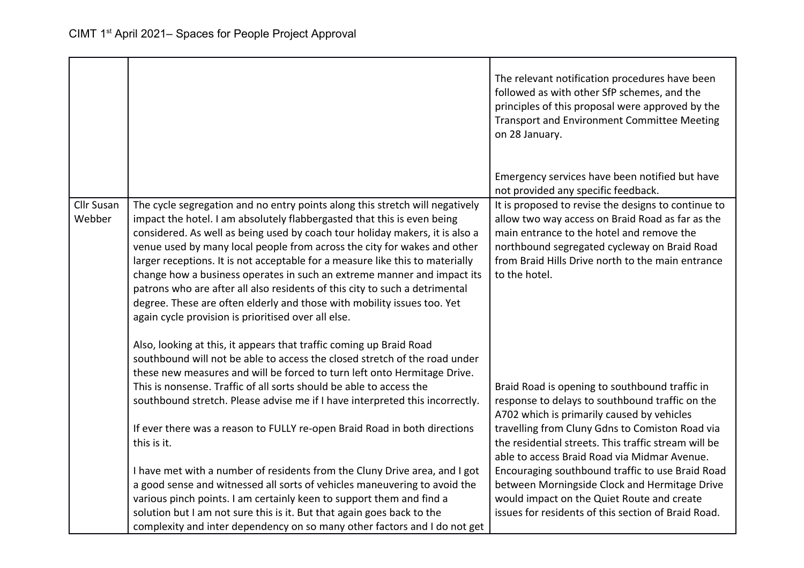|                   |                                                                                                                                                         | The relevant notification procedures have been<br>followed as with other SfP schemes, and the<br>principles of this proposal were approved by the<br><b>Transport and Environment Committee Meeting</b><br>on 28 January.<br>Emergency services have been notified but have<br>not provided any specific feedback. |
|-------------------|---------------------------------------------------------------------------------------------------------------------------------------------------------|--------------------------------------------------------------------------------------------------------------------------------------------------------------------------------------------------------------------------------------------------------------------------------------------------------------------|
| <b>Cllr Susan</b> | The cycle segregation and no entry points along this stretch will negatively                                                                            | It is proposed to revise the designs to continue to                                                                                                                                                                                                                                                                |
| Webber            | impact the hotel. I am absolutely flabbergasted that this is even being<br>considered. As well as being used by coach tour holiday makers, it is also a | allow two way access on Braid Road as far as the<br>main entrance to the hotel and remove the                                                                                                                                                                                                                      |
|                   | venue used by many local people from across the city for wakes and other                                                                                | northbound segregated cycleway on Braid Road                                                                                                                                                                                                                                                                       |
|                   | larger receptions. It is not acceptable for a measure like this to materially                                                                           | from Braid Hills Drive north to the main entrance<br>to the hotel.                                                                                                                                                                                                                                                 |
|                   | change how a business operates in such an extreme manner and impact its<br>patrons who are after all also residents of this city to such a detrimental  |                                                                                                                                                                                                                                                                                                                    |
|                   | degree. These are often elderly and those with mobility issues too. Yet                                                                                 |                                                                                                                                                                                                                                                                                                                    |
|                   | again cycle provision is prioritised over all else.                                                                                                     |                                                                                                                                                                                                                                                                                                                    |
|                   | Also, looking at this, it appears that traffic coming up Braid Road                                                                                     |                                                                                                                                                                                                                                                                                                                    |
|                   | southbound will not be able to access the closed stretch of the road under                                                                              |                                                                                                                                                                                                                                                                                                                    |
|                   | these new measures and will be forced to turn left onto Hermitage Drive.                                                                                |                                                                                                                                                                                                                                                                                                                    |
|                   | This is nonsense. Traffic of all sorts should be able to access the                                                                                     | Braid Road is opening to southbound traffic in                                                                                                                                                                                                                                                                     |
|                   | southbound stretch. Please advise me if I have interpreted this incorrectly.                                                                            | response to delays to southbound traffic on the<br>A702 which is primarily caused by vehicles                                                                                                                                                                                                                      |
|                   | If ever there was a reason to FULLY re-open Braid Road in both directions                                                                               | travelling from Cluny Gdns to Comiston Road via                                                                                                                                                                                                                                                                    |
|                   | this is it.                                                                                                                                             | the residential streets. This traffic stream will be<br>able to access Braid Road via Midmar Avenue.                                                                                                                                                                                                               |
|                   | I have met with a number of residents from the Cluny Drive area, and I got                                                                              | Encouraging southbound traffic to use Braid Road                                                                                                                                                                                                                                                                   |
|                   | a good sense and witnessed all sorts of vehicles maneuvering to avoid the                                                                               | between Morningside Clock and Hermitage Drive                                                                                                                                                                                                                                                                      |
|                   | various pinch points. I am certainly keen to support them and find a                                                                                    | would impact on the Quiet Route and create                                                                                                                                                                                                                                                                         |
|                   | solution but I am not sure this is it. But that again goes back to the                                                                                  | issues for residents of this section of Braid Road.                                                                                                                                                                                                                                                                |
|                   | complexity and inter dependency on so many other factors and I do not get                                                                               |                                                                                                                                                                                                                                                                                                                    |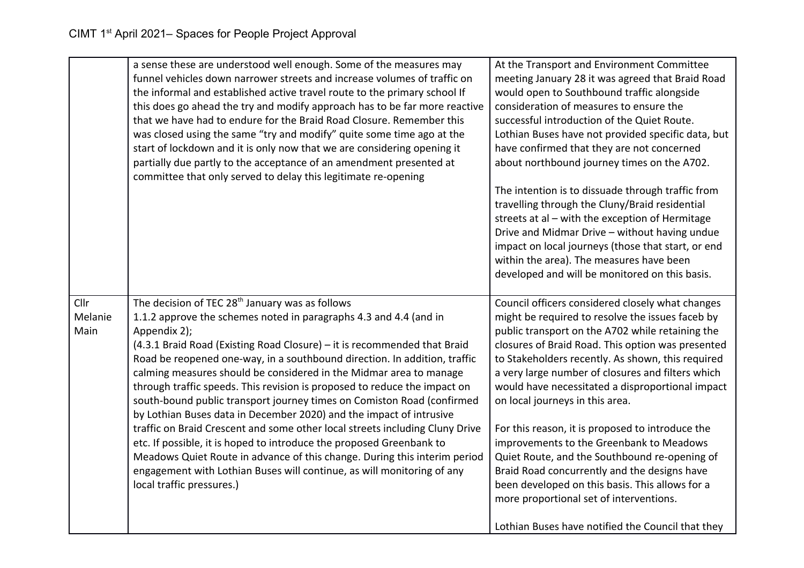|                         | a sense these are understood well enough. Some of the measures may<br>funnel vehicles down narrower streets and increase volumes of traffic on<br>the informal and established active travel route to the primary school If<br>this does go ahead the try and modify approach has to be far more reactive<br>that we have had to endure for the Braid Road Closure. Remember this<br>was closed using the same "try and modify" quite some time ago at the<br>start of lockdown and it is only now that we are considering opening it<br>partially due partly to the acceptance of an amendment presented at<br>committee that only served to delay this legitimate re-opening                                                                                                                                                                                                                                                                            | At the Transport and Environment Committee<br>meeting January 28 it was agreed that Braid Road<br>would open to Southbound traffic alongside<br>consideration of measures to ensure the<br>successful introduction of the Quiet Route.<br>Lothian Buses have not provided specific data, but<br>have confirmed that they are not concerned<br>about northbound journey times on the A702.<br>The intention is to dissuade through traffic from<br>travelling through the Cluny/Braid residential<br>streets at al - with the exception of Hermitage<br>Drive and Midmar Drive - without having undue<br>impact on local journeys (those that start, or end<br>within the area). The measures have been<br>developed and will be monitored on this basis.           |
|-------------------------|-----------------------------------------------------------------------------------------------------------------------------------------------------------------------------------------------------------------------------------------------------------------------------------------------------------------------------------------------------------------------------------------------------------------------------------------------------------------------------------------------------------------------------------------------------------------------------------------------------------------------------------------------------------------------------------------------------------------------------------------------------------------------------------------------------------------------------------------------------------------------------------------------------------------------------------------------------------|--------------------------------------------------------------------------------------------------------------------------------------------------------------------------------------------------------------------------------------------------------------------------------------------------------------------------------------------------------------------------------------------------------------------------------------------------------------------------------------------------------------------------------------------------------------------------------------------------------------------------------------------------------------------------------------------------------------------------------------------------------------------|
| Cllr<br>Melanie<br>Main | The decision of TEC 28 <sup>th</sup> January was as follows<br>1.1.2 approve the schemes noted in paragraphs 4.3 and 4.4 (and in<br>Appendix 2);<br>(4.3.1 Braid Road (Existing Road Closure) - it is recommended that Braid<br>Road be reopened one-way, in a southbound direction. In addition, traffic<br>calming measures should be considered in the Midmar area to manage<br>through traffic speeds. This revision is proposed to reduce the impact on<br>south-bound public transport journey times on Comiston Road (confirmed<br>by Lothian Buses data in December 2020) and the impact of intrusive<br>traffic on Braid Crescent and some other local streets including Cluny Drive<br>etc. If possible, it is hoped to introduce the proposed Greenbank to<br>Meadows Quiet Route in advance of this change. During this interim period<br>engagement with Lothian Buses will continue, as will monitoring of any<br>local traffic pressures.) | Council officers considered closely what changes<br>might be required to resolve the issues faceb by<br>public transport on the A702 while retaining the<br>closures of Braid Road. This option was presented<br>to Stakeholders recently. As shown, this required<br>a very large number of closures and filters which<br>would have necessitated a disproportional impact<br>on local journeys in this area.<br>For this reason, it is proposed to introduce the<br>improvements to the Greenbank to Meadows<br>Quiet Route, and the Southbound re-opening of<br>Braid Road concurrently and the designs have<br>been developed on this basis. This allows for a<br>more proportional set of interventions.<br>Lothian Buses have notified the Council that they |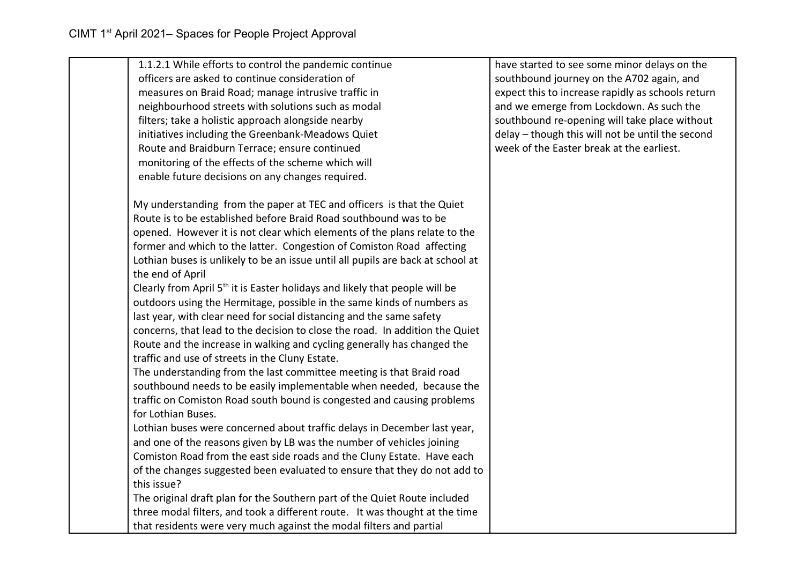| 1.1.2.1 While efforts to control the pandemic continue                                   | have started to see some minor delays on the      |
|------------------------------------------------------------------------------------------|---------------------------------------------------|
| officers are asked to continue consideration of                                          | southbound journey on the A702 again, and         |
| measures on Braid Road; manage intrusive traffic in                                      | expect this to increase rapidly as schools return |
| neighbourhood streets with solutions such as modal                                       | and we emerge from Lockdown. As such the          |
| filters; take a holistic approach alongside nearby                                       | southbound re-opening will take place without     |
| initiatives including the Greenbank-Meadows Quiet                                        | delay - though this will not be until the second  |
| Route and Braidburn Terrace; ensure continued                                            | week of the Easter break at the earliest.         |
| monitoring of the effects of the scheme which will                                       |                                                   |
| enable future decisions on any changes required.                                         |                                                   |
| My understanding from the paper at TEC and officers is that the Quiet                    |                                                   |
| Route is to be established before Braid Road southbound was to be                        |                                                   |
| opened. However it is not clear which elements of the plans relate to the                |                                                   |
| former and which to the latter. Congestion of Comiston Road affecting                    |                                                   |
| Lothian buses is unlikely to be an issue until all pupils are back at school at          |                                                   |
| the end of April                                                                         |                                                   |
| Clearly from April 5 <sup>th</sup> it is Easter holidays and likely that people will be  |                                                   |
| outdoors using the Hermitage, possible in the same kinds of numbers as                   |                                                   |
| last year, with clear need for social distancing and the same safety                     |                                                   |
| concerns, that lead to the decision to close the road. In addition the Quiet             |                                                   |
| Route and the increase in walking and cycling generally has changed the                  |                                                   |
| traffic and use of streets in the Cluny Estate.                                          |                                                   |
| The understanding from the last committee meeting is that Braid road                     |                                                   |
| southbound needs to be easily implementable when needed, because the                     |                                                   |
| traffic on Comiston Road south bound is congested and causing problems                   |                                                   |
| for Lothian Buses.                                                                       |                                                   |
| Lothian buses were concerned about traffic delays in December last year,                 |                                                   |
| and one of the reasons given by LB was the number of vehicles joining                    |                                                   |
| Comiston Road from the east side roads and the Cluny Estate. Have each                   |                                                   |
| of the changes suggested been evaluated to ensure that they do not add to<br>this issue? |                                                   |
| The original draft plan for the Southern part of the Quiet Route included                |                                                   |
| three modal filters, and took a different route. It was thought at the time              |                                                   |
| that residents were very much against the modal filters and partial                      |                                                   |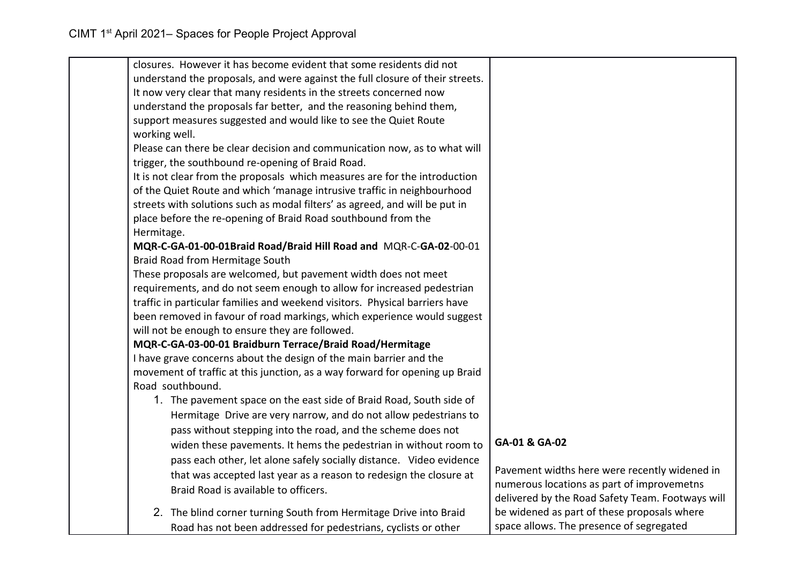| closures. However it has become evident that some residents did not                                                            |                                                                                                 |
|--------------------------------------------------------------------------------------------------------------------------------|-------------------------------------------------------------------------------------------------|
| understand the proposals, and were against the full closure of their streets.                                                  |                                                                                                 |
| It now very clear that many residents in the streets concerned now                                                             |                                                                                                 |
| understand the proposals far better, and the reasoning behind them,                                                            |                                                                                                 |
| support measures suggested and would like to see the Quiet Route<br>working well.                                              |                                                                                                 |
| Please can there be clear decision and communication now, as to what will<br>trigger, the southbound re-opening of Braid Road. |                                                                                                 |
| It is not clear from the proposals which measures are for the introduction                                                     |                                                                                                 |
| of the Quiet Route and which 'manage intrusive traffic in neighbourhood                                                        |                                                                                                 |
| streets with solutions such as modal filters' as agreed, and will be put in                                                    |                                                                                                 |
| place before the re-opening of Braid Road southbound from the<br>Hermitage.                                                    |                                                                                                 |
| MQR-C-GA-01-00-01Braid Road/Braid Hill Road and MQR-C-GA-02-00-01                                                              |                                                                                                 |
| Braid Road from Hermitage South                                                                                                |                                                                                                 |
| These proposals are welcomed, but pavement width does not meet                                                                 |                                                                                                 |
| requirements, and do not seem enough to allow for increased pedestrian                                                         |                                                                                                 |
| traffic in particular families and weekend visitors. Physical barriers have                                                    |                                                                                                 |
| been removed in favour of road markings, which experience would suggest                                                        |                                                                                                 |
| will not be enough to ensure they are followed.                                                                                |                                                                                                 |
| MQR-C-GA-03-00-01 Braidburn Terrace/Braid Road/Hermitage                                                                       |                                                                                                 |
| I have grave concerns about the design of the main barrier and the                                                             |                                                                                                 |
| movement of traffic at this junction, as a way forward for opening up Braid                                                    |                                                                                                 |
| Road southbound.                                                                                                               |                                                                                                 |
| 1. The pavement space on the east side of Braid Road, South side of                                                            |                                                                                                 |
| Hermitage Drive are very narrow, and do not allow pedestrians to                                                               |                                                                                                 |
| pass without stepping into the road, and the scheme does not                                                                   |                                                                                                 |
| widen these pavements. It hems the pedestrian in without room to                                                               | GA-01 & GA-02                                                                                   |
| pass each other, let alone safely socially distance. Video evidence                                                            |                                                                                                 |
| that was accepted last year as a reason to redesign the closure at                                                             | Pavement widths here were recently widened in                                                   |
| Braid Road is available to officers.                                                                                           | numerous locations as part of improvemetns                                                      |
| 2. The blind corner turning South from Hermitage Drive into Braid                                                              | delivered by the Road Safety Team. Footways will<br>be widened as part of these proposals where |
|                                                                                                                                | space allows. The presence of segregated                                                        |
| Road has not been addressed for pedestrians, cyclists or other                                                                 |                                                                                                 |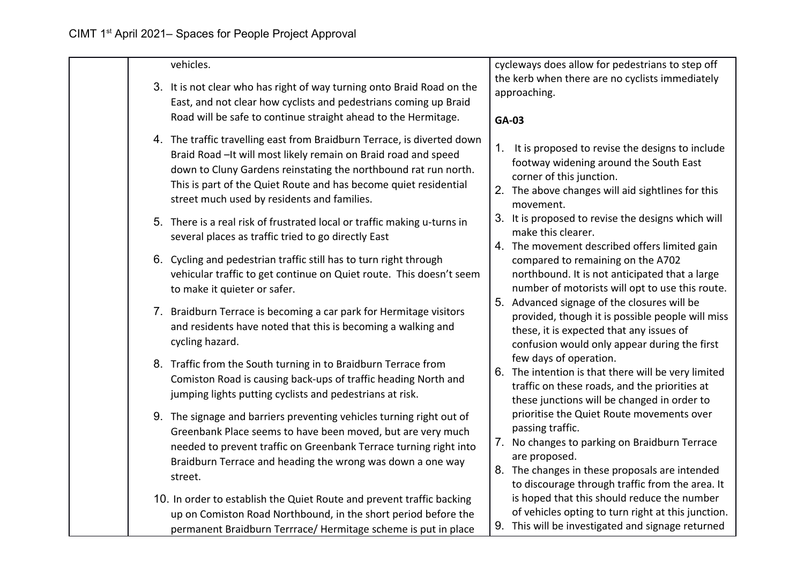| vehicles.                                                                                                                                                                                                                                                                                                                        | cycleways does allow for pedestrians to step off                                                                                                                                                                                     |
|----------------------------------------------------------------------------------------------------------------------------------------------------------------------------------------------------------------------------------------------------------------------------------------------------------------------------------|--------------------------------------------------------------------------------------------------------------------------------------------------------------------------------------------------------------------------------------|
| 3. It is not clear who has right of way turning onto Braid Road on the                                                                                                                                                                                                                                                           | the kerb when there are no cyclists immediately<br>approaching.                                                                                                                                                                      |
| East, and not clear how cyclists and pedestrians coming up Braid<br>Road will be safe to continue straight ahead to the Hermitage.                                                                                                                                                                                               |                                                                                                                                                                                                                                      |
|                                                                                                                                                                                                                                                                                                                                  | GA-03                                                                                                                                                                                                                                |
| 4. The traffic travelling east from Braidburn Terrace, is diverted down<br>Braid Road - It will most likely remain on Braid road and speed<br>down to Cluny Gardens reinstating the northbound rat run north.<br>This is part of the Quiet Route and has become quiet residential<br>street much used by residents and families. | 1. It is proposed to revise the designs to include<br>footway widening around the South East<br>corner of this junction.<br>2. The above changes will aid sightlines for this<br>movement.                                           |
| 5. There is a real risk of frustrated local or traffic making u-turns in<br>several places as traffic tried to go directly East                                                                                                                                                                                                  | 3. It is proposed to revise the designs which will<br>make this clearer.                                                                                                                                                             |
| 6. Cycling and pedestrian traffic still has to turn right through<br>vehicular traffic to get continue on Quiet route. This doesn't seem<br>to make it quieter or safer.                                                                                                                                                         | 4. The movement described offers limited gain<br>compared to remaining on the A702<br>northbound. It is not anticipated that a large<br>number of motorists will opt to use this route.                                              |
| 7. Braidburn Terrace is becoming a car park for Hermitage visitors<br>and residents have noted that this is becoming a walking and<br>cycling hazard.                                                                                                                                                                            | 5. Advanced signage of the closures will be<br>provided, though it is possible people will miss<br>these, it is expected that any issues of<br>confusion would only appear during the first                                          |
| 8. Traffic from the South turning in to Braidburn Terrace from<br>Comiston Road is causing back-ups of traffic heading North and<br>jumping lights putting cyclists and pedestrians at risk.                                                                                                                                     | few days of operation.<br>6. The intention is that there will be very limited<br>traffic on these roads, and the priorities at<br>these junctions will be changed in order to                                                        |
| 9. The signage and barriers preventing vehicles turning right out of<br>Greenbank Place seems to have been moved, but are very much<br>needed to prevent traffic on Greenbank Terrace turning right into<br>Braidburn Terrace and heading the wrong was down a one way<br>street.                                                | prioritise the Quiet Route movements over<br>passing traffic.<br>7. No changes to parking on Braidburn Terrace<br>are proposed.<br>8. The changes in these proposals are intended<br>to discourage through traffic from the area. It |
| 10. In order to establish the Quiet Route and prevent traffic backing<br>up on Comiston Road Northbound, in the short period before the<br>permanent Braidburn Terrrace/ Hermitage scheme is put in place                                                                                                                        | is hoped that this should reduce the number<br>of vehicles opting to turn right at this junction.<br>9. This will be investigated and signage returned                                                                               |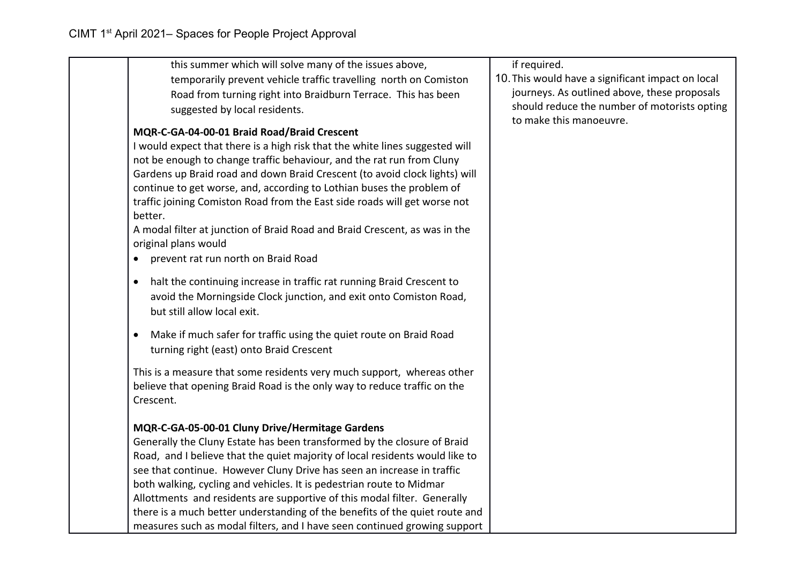| this summer which will solve many of the issues above,<br>temporarily prevent vehicle traffic travelling north on Comiston<br>Road from turning right into Braidburn Terrace. This has been                                                                                                                                                                                                                                                                                                                                                                                                                   | if required.<br>10. This would have a significant impact on local<br>journeys. As outlined above, these proposals |
|---------------------------------------------------------------------------------------------------------------------------------------------------------------------------------------------------------------------------------------------------------------------------------------------------------------------------------------------------------------------------------------------------------------------------------------------------------------------------------------------------------------------------------------------------------------------------------------------------------------|-------------------------------------------------------------------------------------------------------------------|
| suggested by local residents.                                                                                                                                                                                                                                                                                                                                                                                                                                                                                                                                                                                 | should reduce the number of motorists opting<br>to make this manoeuvre.                                           |
| MQR-C-GA-04-00-01 Braid Road/Braid Crescent<br>I would expect that there is a high risk that the white lines suggested will<br>not be enough to change traffic behaviour, and the rat run from Cluny<br>Gardens up Braid road and down Braid Crescent (to avoid clock lights) will<br>continue to get worse, and, according to Lothian buses the problem of<br>traffic joining Comiston Road from the East side roads will get worse not<br>better.<br>A modal filter at junction of Braid Road and Braid Crescent, as was in the<br>original plans would<br>prevent rat run north on Braid Road<br>$\bullet$ |                                                                                                                   |
| halt the continuing increase in traffic rat running Braid Crescent to<br>٠<br>avoid the Morningside Clock junction, and exit onto Comiston Road,<br>but still allow local exit.                                                                                                                                                                                                                                                                                                                                                                                                                               |                                                                                                                   |
| Make if much safer for traffic using the quiet route on Braid Road<br>$\bullet$<br>turning right (east) onto Braid Crescent                                                                                                                                                                                                                                                                                                                                                                                                                                                                                   |                                                                                                                   |
| This is a measure that some residents very much support, whereas other<br>believe that opening Braid Road is the only way to reduce traffic on the<br>Crescent.                                                                                                                                                                                                                                                                                                                                                                                                                                               |                                                                                                                   |
| MQR-C-GA-05-00-01 Cluny Drive/Hermitage Gardens<br>Generally the Cluny Estate has been transformed by the closure of Braid<br>Road, and I believe that the quiet majority of local residents would like to<br>see that continue. However Cluny Drive has seen an increase in traffic<br>both walking, cycling and vehicles. It is pedestrian route to Midmar<br>Allottments and residents are supportive of this modal filter. Generally<br>there is a much better understanding of the benefits of the quiet route and<br>measures such as modal filters, and I have seen continued growing support          |                                                                                                                   |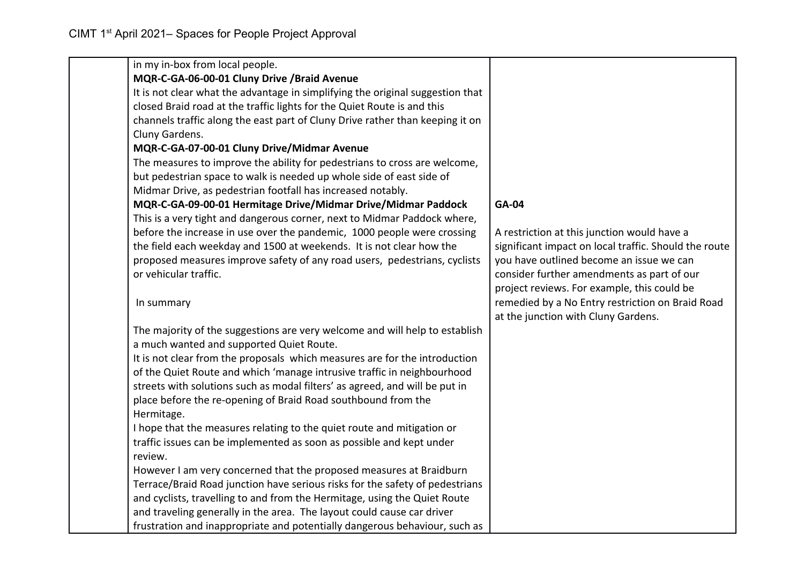| in my in-box from local people.                                                |                                                       |
|--------------------------------------------------------------------------------|-------------------------------------------------------|
| MQR-C-GA-06-00-01 Cluny Drive /Braid Avenue                                    |                                                       |
| It is not clear what the advantage in simplifying the original suggestion that |                                                       |
| closed Braid road at the traffic lights for the Quiet Route is and this        |                                                       |
| channels traffic along the east part of Cluny Drive rather than keeping it on  |                                                       |
| Cluny Gardens.                                                                 |                                                       |
| MQR-C-GA-07-00-01 Cluny Drive/Midmar Avenue                                    |                                                       |
| The measures to improve the ability for pedestrians to cross are welcome,      |                                                       |
| but pedestrian space to walk is needed up whole side of east side of           |                                                       |
| Midmar Drive, as pedestrian footfall has increased notably.                    |                                                       |
| MQR-C-GA-09-00-01 Hermitage Drive/Midmar Drive/Midmar Paddock                  | <b>GA-04</b>                                          |
| This is a very tight and dangerous corner, next to Midmar Paddock where,       |                                                       |
| before the increase in use over the pandemic, 1000 people were crossing        | A restriction at this junction would have a           |
| the field each weekday and 1500 at weekends. It is not clear how the           | significant impact on local traffic. Should the route |
| proposed measures improve safety of any road users, pedestrians, cyclists      | you have outlined become an issue we can              |
| or vehicular traffic.                                                          | consider further amendments as part of our            |
|                                                                                | project reviews. For example, this could be           |
| In summary                                                                     | remedied by a No Entry restriction on Braid Road      |
|                                                                                | at the junction with Cluny Gardens.                   |
| The majority of the suggestions are very welcome and will help to establish    |                                                       |
| a much wanted and supported Quiet Route.                                       |                                                       |
| It is not clear from the proposals which measures are for the introduction     |                                                       |
| of the Quiet Route and which 'manage intrusive traffic in neighbourhood        |                                                       |
| streets with solutions such as modal filters' as agreed, and will be put in    |                                                       |
| place before the re-opening of Braid Road southbound from the                  |                                                       |
| Hermitage.                                                                     |                                                       |
| I hope that the measures relating to the quiet route and mitigation or         |                                                       |
| traffic issues can be implemented as soon as possible and kept under           |                                                       |
| review.                                                                        |                                                       |
| However I am very concerned that the proposed measures at Braidburn            |                                                       |
| Terrace/Braid Road junction have serious risks for the safety of pedestrians   |                                                       |
| and cyclists, travelling to and from the Hermitage, using the Quiet Route      |                                                       |
| and traveling generally in the area. The layout could cause car driver         |                                                       |
| frustration and inappropriate and potentially dangerous behaviour, such as     |                                                       |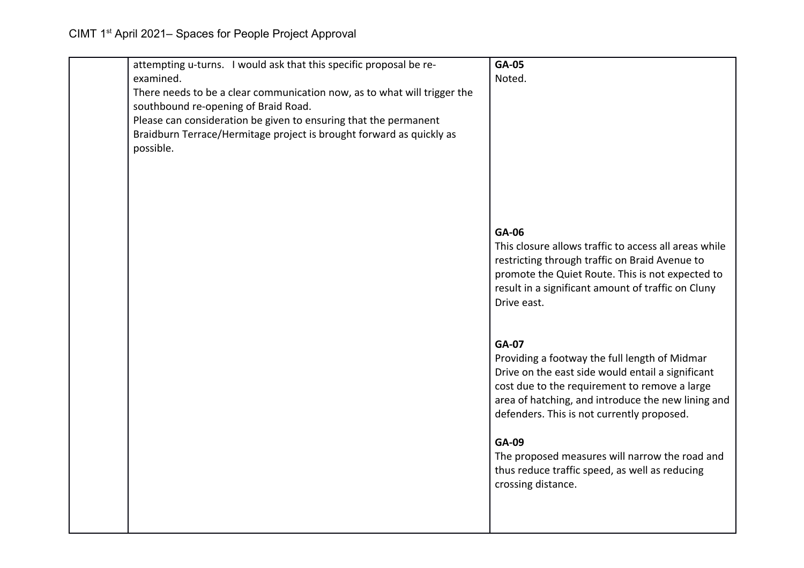| attempting u-turns. I would ask that this specific proposal be re-       | GA-05                                                 |
|--------------------------------------------------------------------------|-------------------------------------------------------|
| examined.                                                                | Noted.                                                |
| There needs to be a clear communication now, as to what will trigger the |                                                       |
| southbound re-opening of Braid Road.                                     |                                                       |
| Please can consideration be given to ensuring that the permanent         |                                                       |
| Braidburn Terrace/Hermitage project is brought forward as quickly as     |                                                       |
| possible.                                                                |                                                       |
|                                                                          |                                                       |
|                                                                          |                                                       |
|                                                                          |                                                       |
|                                                                          |                                                       |
|                                                                          |                                                       |
|                                                                          | GA-06                                                 |
|                                                                          | This closure allows traffic to access all areas while |
|                                                                          | restricting through traffic on Braid Avenue to        |
|                                                                          | promote the Quiet Route. This is not expected to      |
|                                                                          | result in a significant amount of traffic on Cluny    |
|                                                                          | Drive east.                                           |
|                                                                          |                                                       |
|                                                                          |                                                       |
|                                                                          | <b>GA-07</b>                                          |
|                                                                          | Providing a footway the full length of Midmar         |
|                                                                          | Drive on the east side would entail a significant     |
|                                                                          | cost due to the requirement to remove a large         |
|                                                                          | area of hatching, and introduce the new lining and    |
|                                                                          | defenders. This is not currently proposed.            |
|                                                                          |                                                       |
|                                                                          | GA-09                                                 |
|                                                                          | The proposed measures will narrow the road and        |
|                                                                          | thus reduce traffic speed, as well as reducing        |
|                                                                          | crossing distance.                                    |
|                                                                          |                                                       |
|                                                                          |                                                       |
|                                                                          |                                                       |
|                                                                          |                                                       |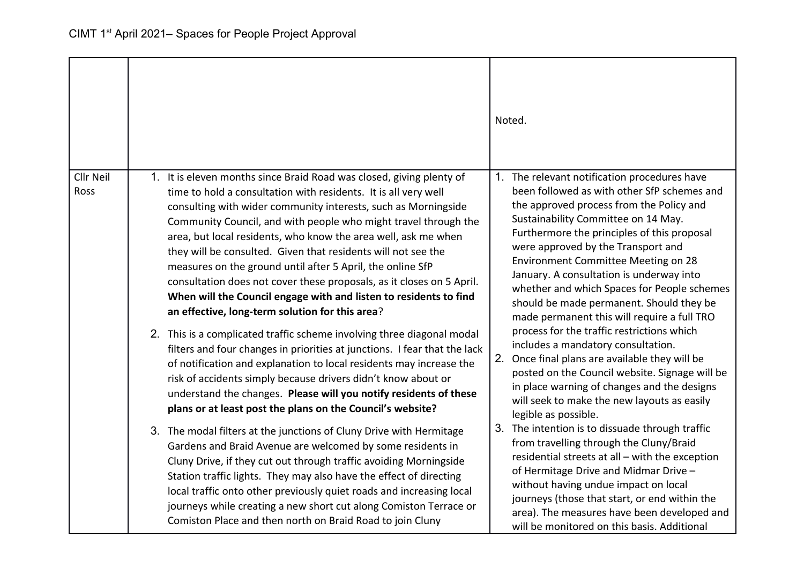|                   |                                                                                                                                                                                                                                                                                                                                                                                                                                                                                                                                                                                                                                                                                                                                                                                                                                                                                                                                                                                                                                                                                                                                                                                                                                                                                                                                                                                                                                                                                                                                                                                                            | Noted.                                                                                                                                                                                                                                                                                                                                                                                                                                                                                                                                                                                                                                                                                                                                                                                                                                                                                                                                                                                                                                                                                                                                                                                             |
|-------------------|------------------------------------------------------------------------------------------------------------------------------------------------------------------------------------------------------------------------------------------------------------------------------------------------------------------------------------------------------------------------------------------------------------------------------------------------------------------------------------------------------------------------------------------------------------------------------------------------------------------------------------------------------------------------------------------------------------------------------------------------------------------------------------------------------------------------------------------------------------------------------------------------------------------------------------------------------------------------------------------------------------------------------------------------------------------------------------------------------------------------------------------------------------------------------------------------------------------------------------------------------------------------------------------------------------------------------------------------------------------------------------------------------------------------------------------------------------------------------------------------------------------------------------------------------------------------------------------------------------|----------------------------------------------------------------------------------------------------------------------------------------------------------------------------------------------------------------------------------------------------------------------------------------------------------------------------------------------------------------------------------------------------------------------------------------------------------------------------------------------------------------------------------------------------------------------------------------------------------------------------------------------------------------------------------------------------------------------------------------------------------------------------------------------------------------------------------------------------------------------------------------------------------------------------------------------------------------------------------------------------------------------------------------------------------------------------------------------------------------------------------------------------------------------------------------------------|
| Cllr Neil<br>Ross | 1. It is eleven months since Braid Road was closed, giving plenty of<br>time to hold a consultation with residents. It is all very well<br>consulting with wider community interests, such as Morningside<br>Community Council, and with people who might travel through the<br>area, but local residents, who know the area well, ask me when<br>they will be consulted. Given that residents will not see the<br>measures on the ground until after 5 April, the online SfP<br>consultation does not cover these proposals, as it closes on 5 April.<br>When will the Council engage with and listen to residents to find<br>an effective, long-term solution for this area?<br>2. This is a complicated traffic scheme involving three diagonal modal<br>filters and four changes in priorities at junctions. I fear that the lack<br>of notification and explanation to local residents may increase the<br>risk of accidents simply because drivers didn't know about or<br>understand the changes. Please will you notify residents of these<br>plans or at least post the plans on the Council's website?<br>3. The modal filters at the junctions of Cluny Drive with Hermitage<br>Gardens and Braid Avenue are welcomed by some residents in<br>Cluny Drive, if they cut out through traffic avoiding Morningside<br>Station traffic lights. They may also have the effect of directing<br>local traffic onto other previously quiet roads and increasing local<br>journeys while creating a new short cut along Comiston Terrace or<br>Comiston Place and then north on Braid Road to join Cluny | 1. The relevant notification procedures have<br>been followed as with other SfP schemes and<br>the approved process from the Policy and<br>Sustainability Committee on 14 May.<br>Furthermore the principles of this proposal<br>were approved by the Transport and<br>Environment Committee Meeting on 28<br>January. A consultation is underway into<br>whether and which Spaces for People schemes<br>should be made permanent. Should they be<br>made permanent this will require a full TRO<br>process for the traffic restrictions which<br>includes a mandatory consultation.<br>2.<br>Once final plans are available they will be<br>posted on the Council website. Signage will be<br>in place warning of changes and the designs<br>will seek to make the new layouts as easily<br>legible as possible.<br>3. The intention is to dissuade through traffic<br>from travelling through the Cluny/Braid<br>residential streets at all - with the exception<br>of Hermitage Drive and Midmar Drive -<br>without having undue impact on local<br>journeys (those that start, or end within the<br>area). The measures have been developed and<br>will be monitored on this basis. Additional |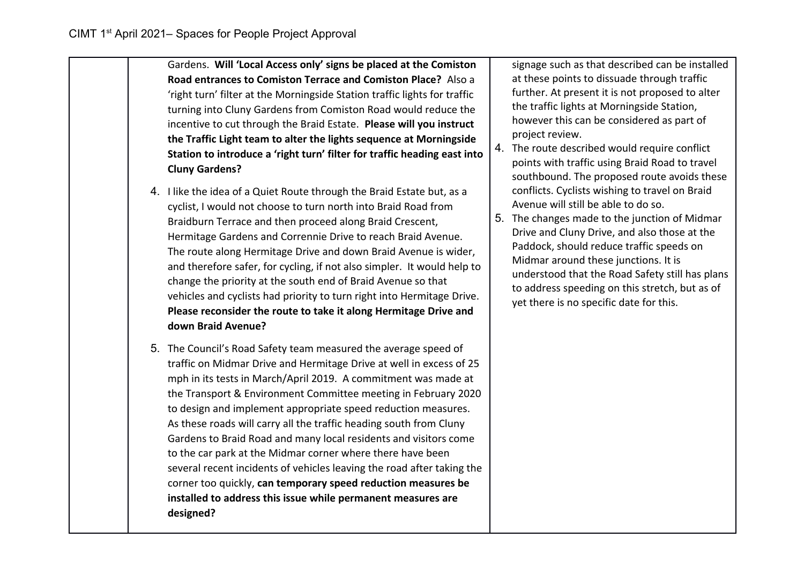- Gardens. **Will 'Local Access only' signs be placed at the Comiston Road entrances to Comiston Terrace and Comiston Place?** Also a 'right turn' filter at the Morningside Station traffic lights for traffic turning into Cluny Gardens from Comiston Road would reduce the incentive to cut through the Braid Estate. **Please will you instruct the Traffic Light team to alter the lights sequence at Morningside Station to introduce a 'right turn' filter for traffic heading east into Cluny Gardens?**
- 4. I like the idea of a Quiet Route through the Braid Estate but, as a cyclist, I would not choose to turn north into Braid Road from Braidburn Terrace and then proceed along Braid Crescent, Hermitage Gardens and Corrennie Drive to reach Braid Avenue. The route along Hermitage Drive and down Braid Avenue is wider, and therefore safer, for cycling, if not also simpler. It would help to change the priority at the south end of Braid Avenue so that vehicles and cyclists had priority to turn right into Hermitage Drive. **Please reconsider the route to take it along Hermitage Drive and down Braid Avenue?**
- 5. The Council's Road Safety team measured the average speed of traffic on Midmar Drive and Hermitage Drive at well in excess of 25 mph in its tests in March/April 2019. A commitment was made at the Transport & Environment Committee meeting in February 2020 to design and implement appropriate speed reduction measures. As these roads will carry all the traffic heading south from Cluny Gardens to Braid Road and many local residents and visitors come to the car park at the Midmar corner where there have been several recent incidents of vehicles leaving the road after taking the corner too quickly, **can temporary speed reduction measures be installed to address this issue while permanent measures are designed?**

signage such as that described can be installed at these points to dissuade through traffic further. At present it is not proposed to alter the traffic lights at Morningside Station, however this can be considered as part of project review.

- 4. The route described would require conflict points with traffic using Braid Road to travel southbound. The proposed route avoids these conflicts. Cyclists wishing to travel on Braid Avenue will still be able to do so.
- 5. The changes made to the junction of Midmar Drive and Cluny Drive, and also those at the Paddock, should reduce traffic speeds on Midmar around these junctions. It is understood that the Road Safety still has plans to address speeding on this stretch, but as of yet there is no specific date for this.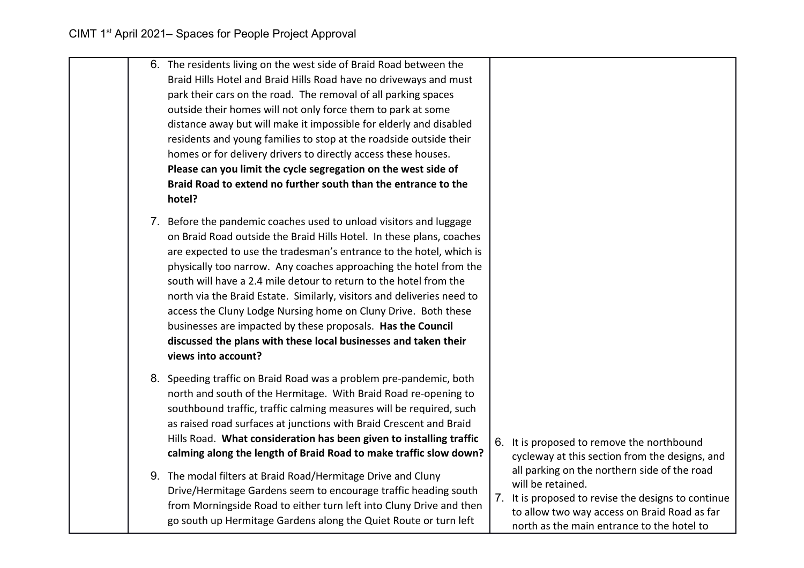|  | 6. The residents living on the west side of Braid Road between the<br>Braid Hills Hotel and Braid Hills Road have no driveways and must<br>park their cars on the road. The removal of all parking spaces<br>outside their homes will not only force them to park at some<br>distance away but will make it impossible for elderly and disabled<br>residents and young families to stop at the roadside outside their<br>homes or for delivery drivers to directly access these houses.<br>Please can you limit the cycle segregation on the west side of<br>Braid Road to extend no further south than the entrance to the<br>hotel?                            |                                                                                                                                                                                                                        |
|--|------------------------------------------------------------------------------------------------------------------------------------------------------------------------------------------------------------------------------------------------------------------------------------------------------------------------------------------------------------------------------------------------------------------------------------------------------------------------------------------------------------------------------------------------------------------------------------------------------------------------------------------------------------------|------------------------------------------------------------------------------------------------------------------------------------------------------------------------------------------------------------------------|
|  | 7. Before the pandemic coaches used to unload visitors and luggage<br>on Braid Road outside the Braid Hills Hotel. In these plans, coaches<br>are expected to use the tradesman's entrance to the hotel, which is<br>physically too narrow. Any coaches approaching the hotel from the<br>south will have a 2.4 mile detour to return to the hotel from the<br>north via the Braid Estate. Similarly, visitors and deliveries need to<br>access the Cluny Lodge Nursing home on Cluny Drive. Both these<br>businesses are impacted by these proposals. Has the Council<br>discussed the plans with these local businesses and taken their<br>views into account? |                                                                                                                                                                                                                        |
|  | 8. Speeding traffic on Braid Road was a problem pre-pandemic, both<br>north and south of the Hermitage. With Braid Road re-opening to<br>southbound traffic, traffic calming measures will be required, such<br>as raised road surfaces at junctions with Braid Crescent and Braid<br>Hills Road. What consideration has been given to installing traffic<br>calming along the length of Braid Road to make traffic slow down?                                                                                                                                                                                                                                   | 6. It is proposed to remove the northbound<br>cycleway at this section from the designs, and                                                                                                                           |
|  | 9. The modal filters at Braid Road/Hermitage Drive and Cluny<br>Drive/Hermitage Gardens seem to encourage traffic heading south<br>from Morningside Road to either turn left into Cluny Drive and then<br>go south up Hermitage Gardens along the Quiet Route or turn left                                                                                                                                                                                                                                                                                                                                                                                       | all parking on the northern side of the road<br>will be retained.<br>7. It is proposed to revise the designs to continue<br>to allow two way access on Braid Road as far<br>north as the main entrance to the hotel to |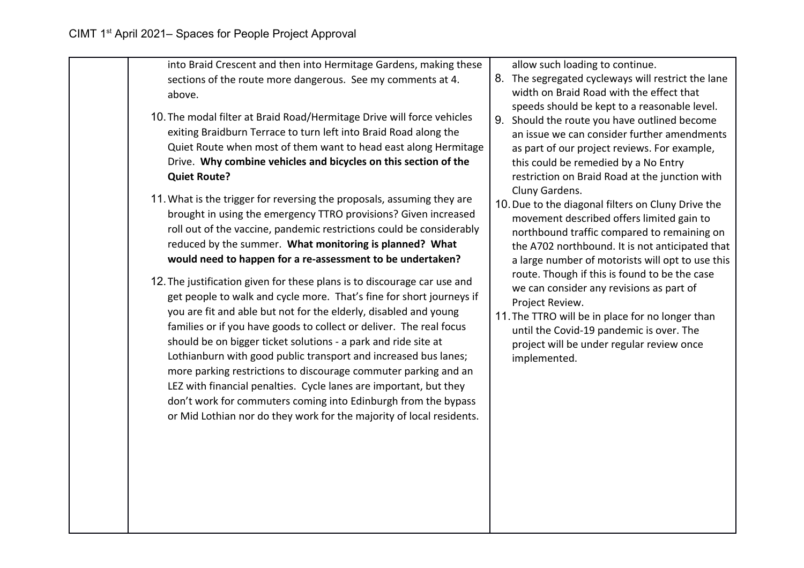into Braid Crescent and then into Hermitage Gardens, making these sections of the route more dangerous. See my comments at 4. above.

- 10.The modal filter at Braid Road/Hermitage Drive will force vehicles exiting Braidburn Terrace to turn left into Braid Road along the Quiet Route when most of them want to head east along Hermitage Drive. **Why combine vehicles and bicycles on this section of the Quiet Route?**
- 11.What is the trigger for reversing the proposals, assuming they are brought in using the emergency TTRO provisions? Given increased roll out of the vaccine, pandemic restrictions could be considerably reduced by the summer. **What monitoring is planned? What would need to happen for a re-assessment to be undertaken?**
- 12.The justification given for these plans is to discourage car use and get people to walk and cycle more. That's fine for short journeys if you are fit and able but not for the elderly, disabled and young families or if you have goods to collect or deliver. The real focus should be on bigger ticket solutions - a park and ride site at Lothianburn with good public transport and increased bus lanes; more parking restrictions to discourage commuter parking and an LEZ with financial penalties. Cycle lanes are important, but they don't work for commuters coming into Edinburgh from the bypass or Mid Lothian nor do they work for the majority of local residents.

allow such loading to continue.

- 8. The segregated cycleways will restrict the lane width on Braid Road with the effect that speeds should be kept to a reasonable level.
- 9. Should the route you have outlined become an issue we can consider further amendments as part of our project reviews. For example, this could be remedied by a No Entry restriction on Braid Road at the junction with Cluny Gardens.
- 10.Due to the diagonal filters on Cluny Drive the movement described offers limited gain to northbound traffic compared to remaining on the A702 northbound. It is not anticipated that a large number of motorists will opt to use this route. Though if this is found to be the case we can consider any revisions as part of Project Review.
- 11.The TTRO will be in place for no longer than until the Covid-19 pandemic is over. The project will be under regular review once implemented.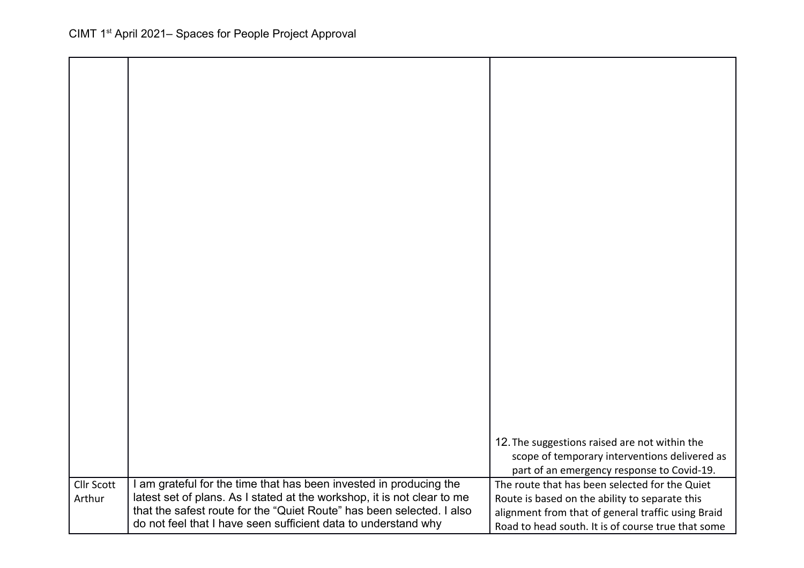|                             |                                                                                                                                                                                                                                                                                          | 12. The suggestions raised are not within the<br>scope of temporary interventions delivered as<br>part of an emergency response to Covid-19.                                                                 |
|-----------------------------|------------------------------------------------------------------------------------------------------------------------------------------------------------------------------------------------------------------------------------------------------------------------------------------|--------------------------------------------------------------------------------------------------------------------------------------------------------------------------------------------------------------|
| <b>Cllr Scott</b><br>Arthur | I am grateful for the time that has been invested in producing the<br>latest set of plans. As I stated at the workshop, it is not clear to me<br>that the safest route for the "Quiet Route" has been selected. I also<br>do not feel that I have seen sufficient data to understand why | The route that has been selected for the Quiet<br>Route is based on the ability to separate this<br>alignment from that of general traffic using Braid<br>Road to head south. It is of course true that some |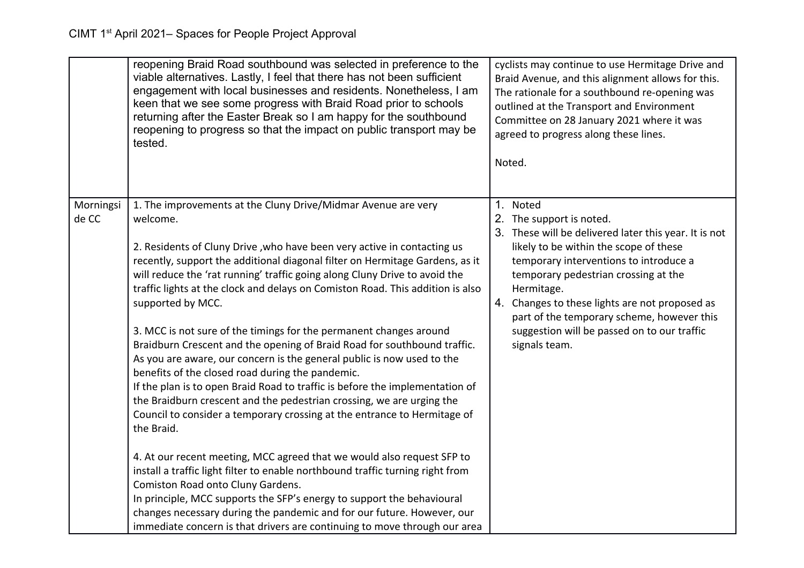|                    | reopening Braid Road southbound was selected in preference to the<br>viable alternatives. Lastly, I feel that there has not been sufficient<br>engagement with local businesses and residents. Nonetheless, I am<br>keen that we see some progress with Braid Road prior to schools<br>returning after the Easter Break so I am happy for the southbound<br>reopening to progress so that the impact on public transport may be<br>tested.                                                                                                                                                                                                                                                                                                                                                                                                                                      | cyclists may continue to use Hermitage Drive and<br>Braid Avenue, and this alignment allows for this.<br>The rationale for a southbound re-opening was<br>outlined at the Transport and Environment<br>Committee on 28 January 2021 where it was<br>agreed to progress along these lines.<br>Noted.    |
|--------------------|---------------------------------------------------------------------------------------------------------------------------------------------------------------------------------------------------------------------------------------------------------------------------------------------------------------------------------------------------------------------------------------------------------------------------------------------------------------------------------------------------------------------------------------------------------------------------------------------------------------------------------------------------------------------------------------------------------------------------------------------------------------------------------------------------------------------------------------------------------------------------------|--------------------------------------------------------------------------------------------------------------------------------------------------------------------------------------------------------------------------------------------------------------------------------------------------------|
| Morningsi<br>de CC | 1. The improvements at the Cluny Drive/Midmar Avenue are very<br>welcome.                                                                                                                                                                                                                                                                                                                                                                                                                                                                                                                                                                                                                                                                                                                                                                                                       | 1. Noted<br>2. The support is noted.                                                                                                                                                                                                                                                                   |
|                    |                                                                                                                                                                                                                                                                                                                                                                                                                                                                                                                                                                                                                                                                                                                                                                                                                                                                                 | 3. These will be delivered later this year. It is not                                                                                                                                                                                                                                                  |
|                    | 2. Residents of Cluny Drive, who have been very active in contacting us<br>recently, support the additional diagonal filter on Hermitage Gardens, as it<br>will reduce the 'rat running' traffic going along Cluny Drive to avoid the<br>traffic lights at the clock and delays on Comiston Road. This addition is also<br>supported by MCC.<br>3. MCC is not sure of the timings for the permanent changes around<br>Braidburn Crescent and the opening of Braid Road for southbound traffic.<br>As you are aware, our concern is the general public is now used to the<br>benefits of the closed road during the pandemic.<br>If the plan is to open Braid Road to traffic is before the implementation of<br>the Braidburn crescent and the pedestrian crossing, we are urging the<br>Council to consider a temporary crossing at the entrance to Hermitage of<br>the Braid. | likely to be within the scope of these<br>temporary interventions to introduce a<br>temporary pedestrian crossing at the<br>Hermitage.<br>4. Changes to these lights are not proposed as<br>part of the temporary scheme, however this<br>suggestion will be passed on to our traffic<br>signals team. |
|                    | 4. At our recent meeting, MCC agreed that we would also request SFP to<br>install a traffic light filter to enable northbound traffic turning right from                                                                                                                                                                                                                                                                                                                                                                                                                                                                                                                                                                                                                                                                                                                        |                                                                                                                                                                                                                                                                                                        |
|                    | Comiston Road onto Cluny Gardens.<br>In principle, MCC supports the SFP's energy to support the behavioural                                                                                                                                                                                                                                                                                                                                                                                                                                                                                                                                                                                                                                                                                                                                                                     |                                                                                                                                                                                                                                                                                                        |
|                    | changes necessary during the pandemic and for our future. However, our<br>immediate concern is that drivers are continuing to move through our area                                                                                                                                                                                                                                                                                                                                                                                                                                                                                                                                                                                                                                                                                                                             |                                                                                                                                                                                                                                                                                                        |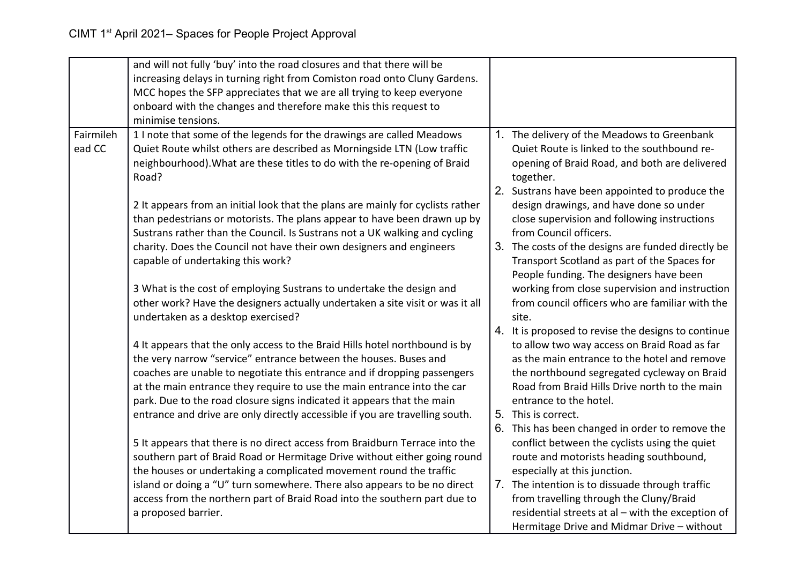|           | and will not fully 'buy' into the road closures and that there will be                                                                                |                                                                                                   |
|-----------|-------------------------------------------------------------------------------------------------------------------------------------------------------|---------------------------------------------------------------------------------------------------|
|           | increasing delays in turning right from Comiston road onto Cluny Gardens.                                                                             |                                                                                                   |
|           | MCC hopes the SFP appreciates that we are all trying to keep everyone                                                                                 |                                                                                                   |
|           | onboard with the changes and therefore make this this request to                                                                                      |                                                                                                   |
|           | minimise tensions.                                                                                                                                    |                                                                                                   |
| Fairmileh | 1 I note that some of the legends for the drawings are called Meadows                                                                                 | 1. The delivery of the Meadows to Greenbank                                                       |
| ead CC    | Quiet Route whilst others are described as Morningside LTN (Low traffic                                                                               | Quiet Route is linked to the southbound re-                                                       |
|           | neighbourhood). What are these titles to do with the re-opening of Braid                                                                              | opening of Braid Road, and both are delivered                                                     |
|           | Road?                                                                                                                                                 | together.                                                                                         |
|           |                                                                                                                                                       | 2. Sustrans have been appointed to produce the                                                    |
|           | 2 It appears from an initial look that the plans are mainly for cyclists rather                                                                       | design drawings, and have done so under                                                           |
|           | than pedestrians or motorists. The plans appear to have been drawn up by                                                                              | close supervision and following instructions                                                      |
|           | Sustrans rather than the Council. Is Sustrans not a UK walking and cycling                                                                            | from Council officers.                                                                            |
|           | charity. Does the Council not have their own designers and engineers                                                                                  | 3. The costs of the designs are funded directly be                                                |
|           | capable of undertaking this work?                                                                                                                     | Transport Scotland as part of the Spaces for                                                      |
|           |                                                                                                                                                       | People funding. The designers have been                                                           |
|           | 3 What is the cost of employing Sustrans to undertake the design and<br>other work? Have the designers actually undertaken a site visit or was it all | working from close supervision and instruction<br>from council officers who are familiar with the |
|           | undertaken as a desktop exercised?                                                                                                                    | site.                                                                                             |
|           |                                                                                                                                                       | 4. It is proposed to revise the designs to continue                                               |
|           | 4 It appears that the only access to the Braid Hills hotel northbound is by                                                                           | to allow two way access on Braid Road as far                                                      |
|           | the very narrow "service" entrance between the houses. Buses and                                                                                      | as the main entrance to the hotel and remove                                                      |
|           | coaches are unable to negotiate this entrance and if dropping passengers                                                                              | the northbound segregated cycleway on Braid                                                       |
|           | at the main entrance they require to use the main entrance into the car                                                                               | Road from Braid Hills Drive north to the main                                                     |
|           | park. Due to the road closure signs indicated it appears that the main                                                                                | entrance to the hotel.                                                                            |
|           | entrance and drive are only directly accessible if you are travelling south.                                                                          | 5. This is correct.                                                                               |
|           |                                                                                                                                                       | 6. This has been changed in order to remove the                                                   |
|           | 5 It appears that there is no direct access from Braidburn Terrace into the                                                                           | conflict between the cyclists using the quiet                                                     |
|           | southern part of Braid Road or Hermitage Drive without either going round                                                                             | route and motorists heading southbound,                                                           |
|           | the houses or undertaking a complicated movement round the traffic                                                                                    | especially at this junction.                                                                      |
|           | island or doing a "U" turn somewhere. There also appears to be no direct                                                                              | 7. The intention is to dissuade through traffic                                                   |
|           | access from the northern part of Braid Road into the southern part due to                                                                             | from travelling through the Cluny/Braid                                                           |
|           | a proposed barrier.                                                                                                                                   | residential streets at al - with the exception of                                                 |
|           |                                                                                                                                                       | Hermitage Drive and Midmar Drive - without                                                        |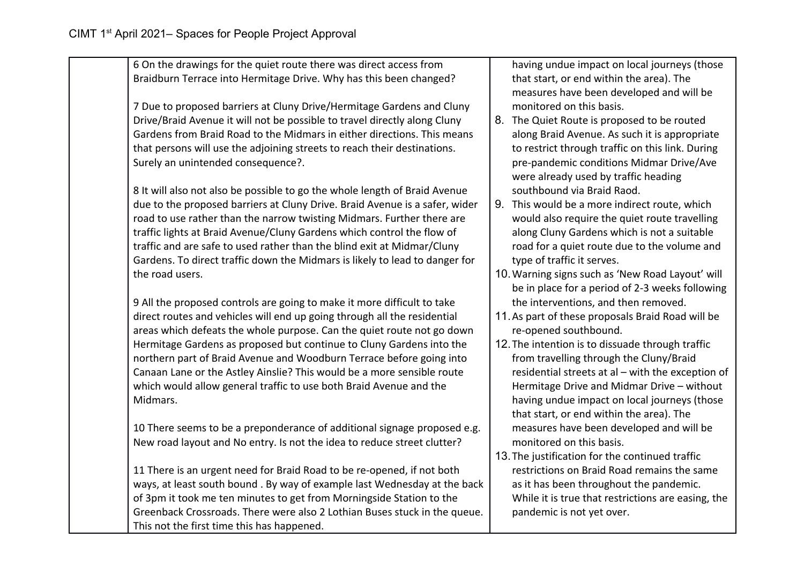| 6 On the drawings for the quiet route there was direct access from          | having undue impact on local journeys (those       |
|-----------------------------------------------------------------------------|----------------------------------------------------|
| Braidburn Terrace into Hermitage Drive. Why has this been changed?          | that start, or end within the area). The           |
|                                                                             | measures have been developed and will be           |
| 7 Due to proposed barriers at Cluny Drive/Hermitage Gardens and Cluny       | monitored on this basis.                           |
| Drive/Braid Avenue it will not be possible to travel directly along Cluny   | 8. The Quiet Route is proposed to be routed        |
| Gardens from Braid Road to the Midmars in either directions. This means     | along Braid Avenue. As such it is appropriate      |
| that persons will use the adjoining streets to reach their destinations.    | to restrict through traffic on this link. During   |
| Surely an unintended consequence?.                                          | pre-pandemic conditions Midmar Drive/Ave           |
|                                                                             | were already used by traffic heading               |
| 8 It will also not also be possible to go the whole length of Braid Avenue  | southbound via Braid Raod.                         |
| due to the proposed barriers at Cluny Drive. Braid Avenue is a safer, wider | 9. This would be a more indirect route, which      |
| road to use rather than the narrow twisting Midmars. Further there are      | would also require the quiet route travelling      |
| traffic lights at Braid Avenue/Cluny Gardens which control the flow of      | along Cluny Gardens which is not a suitable        |
| traffic and are safe to used rather than the blind exit at Midmar/Cluny     | road for a quiet route due to the volume and       |
| Gardens. To direct traffic down the Midmars is likely to lead to danger for | type of traffic it serves.                         |
| the road users.                                                             | 10. Warning signs such as 'New Road Layout' will   |
|                                                                             | be in place for a period of 2-3 weeks following    |
| 9 All the proposed controls are going to make it more difficult to take     | the interventions, and then removed.               |
| direct routes and vehicles will end up going through all the residential    | 11. As part of these proposals Braid Road will be  |
| areas which defeats the whole purpose. Can the quiet route not go down      | re-opened southbound.                              |
| Hermitage Gardens as proposed but continue to Cluny Gardens into the        | 12. The intention is to dissuade through traffic   |
| northern part of Braid Avenue and Woodburn Terrace before going into        | from travelling through the Cluny/Braid            |
| Canaan Lane or the Astley Ainslie? This would be a more sensible route      | residential streets at al - with the exception of  |
| which would allow general traffic to use both Braid Avenue and the          | Hermitage Drive and Midmar Drive - without         |
| Midmars.                                                                    | having undue impact on local journeys (those       |
|                                                                             | that start, or end within the area). The           |
| 10 There seems to be a preponderance of additional signage proposed e.g.    | measures have been developed and will be           |
| New road layout and No entry. Is not the idea to reduce street clutter?     | monitored on this basis.                           |
|                                                                             | 13. The justification for the continued traffic    |
| 11 There is an urgent need for Braid Road to be re-opened, if not both      | restrictions on Braid Road remains the same        |
| ways, at least south bound . By way of example last Wednesday at the back   | as it has been throughout the pandemic.            |
| of 3pm it took me ten minutes to get from Morningside Station to the        | While it is true that restrictions are easing, the |
| Greenback Crossroads. There were also 2 Lothian Buses stuck in the queue.   | pandemic is not yet over.                          |
| This not the first time this has happened.                                  |                                                    |
|                                                                             |                                                    |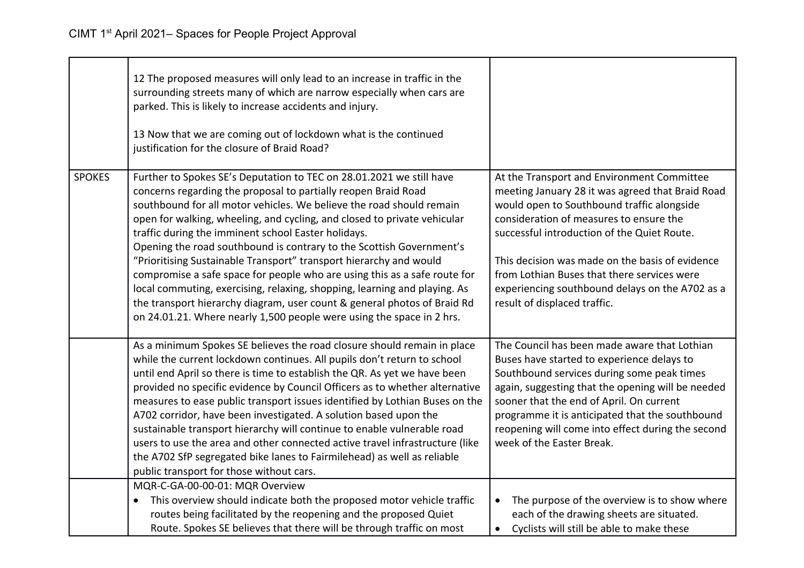|               | 12 The proposed measures will only lead to an increase in traffic in the<br>surrounding streets many of which are narrow especially when cars are<br>parked. This is likely to increase accidents and injury.<br>13 Now that we are coming out of lockdown what is the continued<br>justification for the closure of Braid Road?                                                                                                                                                                                                                                                                                                                                                                                                                                                                               |                                                                                                                                                                                                                                                                                                                                                                                                                             |
|---------------|----------------------------------------------------------------------------------------------------------------------------------------------------------------------------------------------------------------------------------------------------------------------------------------------------------------------------------------------------------------------------------------------------------------------------------------------------------------------------------------------------------------------------------------------------------------------------------------------------------------------------------------------------------------------------------------------------------------------------------------------------------------------------------------------------------------|-----------------------------------------------------------------------------------------------------------------------------------------------------------------------------------------------------------------------------------------------------------------------------------------------------------------------------------------------------------------------------------------------------------------------------|
| <b>SPOKES</b> | Further to Spokes SE's Deputation to TEC on 28.01.2021 we still have<br>concerns regarding the proposal to partially reopen Braid Road<br>southbound for all motor vehicles. We believe the road should remain<br>open for walking, wheeling, and cycling, and closed to private vehicular<br>traffic during the imminent school Easter holidays.<br>Opening the road southbound is contrary to the Scottish Government's<br>"Prioritising Sustainable Transport" transport hierarchy and would<br>compromise a safe space for people who are using this as a safe route for<br>local commuting, exercising, relaxing, shopping, learning and playing. As<br>the transport hierarchy diagram, user count & general photos of Braid Rd<br>on 24.01.21. Where nearly 1,500 people were using the space in 2 hrs. | At the Transport and Environment Committee<br>meeting January 28 it was agreed that Braid Road<br>would open to Southbound traffic alongside<br>consideration of measures to ensure the<br>successful introduction of the Quiet Route.<br>This decision was made on the basis of evidence<br>from Lothian Buses that there services were<br>experiencing southbound delays on the A702 as a<br>result of displaced traffic. |
|               | As a minimum Spokes SE believes the road closure should remain in place<br>while the current lockdown continues. All pupils don't return to school<br>until end April so there is time to establish the QR. As yet we have been<br>provided no specific evidence by Council Officers as to whether alternative<br>measures to ease public transport issues identified by Lothian Buses on the<br>A702 corridor, have been investigated. A solution based upon the<br>sustainable transport hierarchy will continue to enable vulnerable road<br>users to use the area and other connected active travel infrastructure (like<br>the A702 SfP segregated bike lanes to Fairmilehead) as well as reliable<br>public transport for those without cars.                                                            | The Council has been made aware that Lothian<br>Buses have started to experience delays to<br>Southbound services during some peak times<br>again, suggesting that the opening will be needed<br>sooner that the end of April. On current<br>programme it is anticipated that the southbound<br>reopening will come into effect during the second<br>week of the Easter Break.                                              |
|               | MQR-C-GA-00-00-01: MQR Overview<br>This overview should indicate both the proposed motor vehicle traffic<br>٠<br>routes being facilitated by the reopening and the proposed Quiet<br>Route. Spokes SE believes that there will be through traffic on most                                                                                                                                                                                                                                                                                                                                                                                                                                                                                                                                                      | The purpose of the overview is to show where<br>$\bullet$<br>each of the drawing sheets are situated.<br>Cyclists will still be able to make these<br>$\bullet$                                                                                                                                                                                                                                                             |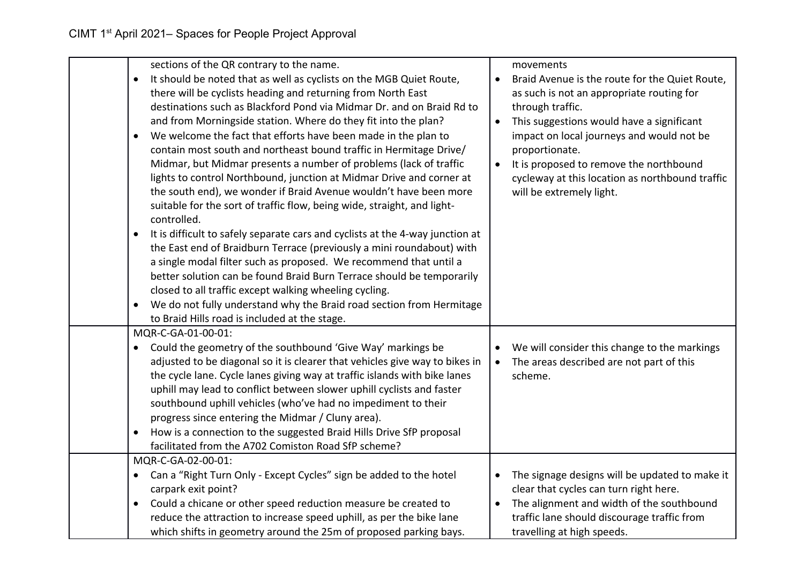| $\bullet$                                                           | sections of the QR contrary to the name.<br>It should be noted that as well as cyclists on the MGB Quiet Route,<br>there will be cyclists heading and returning from North East<br>destinations such as Blackford Pond via Midmar Dr. and on Braid Rd to<br>and from Morningside station. Where do they fit into the plan?<br>We welcome the fact that efforts have been made in the plan to<br>contain most south and northeast bound traffic in Hermitage Drive/<br>Midmar, but Midmar presents a number of problems (lack of traffic<br>lights to control Northbound, junction at Midmar Drive and corner at                         | $\bullet$<br>$\bullet$ | movements<br>Braid Avenue is the route for the Quiet Route,<br>as such is not an appropriate routing for<br>through traffic.<br>This suggestions would have a significant<br>impact on local journeys and would not be<br>proportionate.<br>It is proposed to remove the northbound<br>cycleway at this location as northbound traffic |
|---------------------------------------------------------------------|-----------------------------------------------------------------------------------------------------------------------------------------------------------------------------------------------------------------------------------------------------------------------------------------------------------------------------------------------------------------------------------------------------------------------------------------------------------------------------------------------------------------------------------------------------------------------------------------------------------------------------------------|------------------------|----------------------------------------------------------------------------------------------------------------------------------------------------------------------------------------------------------------------------------------------------------------------------------------------------------------------------------------|
| controlled.<br>$\bullet$                                            | the south end), we wonder if Braid Avenue wouldn't have been more<br>suitable for the sort of traffic flow, being wide, straight, and light-<br>It is difficult to safely separate cars and cyclists at the 4-way junction at<br>the East end of Braidburn Terrace (previously a mini roundabout) with<br>a single modal filter such as proposed. We recommend that until a<br>better solution can be found Braid Burn Terrace should be temporarily<br>closed to all traffic except walking wheeling cycling.<br>We do not fully understand why the Braid road section from Hermitage<br>to Braid Hills road is included at the stage. |                        | will be extremely light.                                                                                                                                                                                                                                                                                                               |
| MQR-C-GA-01-00-01:<br>$\bullet$<br>$\bullet$                        | Could the geometry of the southbound 'Give Way' markings be<br>adjusted to be diagonal so it is clearer that vehicles give way to bikes in<br>the cycle lane. Cycle lanes giving way at traffic islands with bike lanes<br>uphill may lead to conflict between slower uphill cyclists and faster<br>southbound uphill vehicles (who've had no impediment to their<br>progress since entering the Midmar / Cluny area).<br>How is a connection to the suggested Braid Hills Drive SfP proposal<br>facilitated from the A702 Comiston Road SfP scheme?                                                                                    | $\bullet$              | We will consider this change to the markings<br>The areas described are not part of this<br>scheme.                                                                                                                                                                                                                                    |
| MQR-C-GA-02-00-01:<br>$\bullet$<br>carpark exit point?<br>$\bullet$ | Can a "Right Turn Only - Except Cycles" sign be added to the hotel<br>Could a chicane or other speed reduction measure be created to<br>reduce the attraction to increase speed uphill, as per the bike lane<br>which shifts in geometry around the 25m of proposed parking bays.                                                                                                                                                                                                                                                                                                                                                       | $\bullet$              | The signage designs will be updated to make it<br>clear that cycles can turn right here.<br>The alignment and width of the southbound<br>traffic lane should discourage traffic from<br>travelling at high speeds.                                                                                                                     |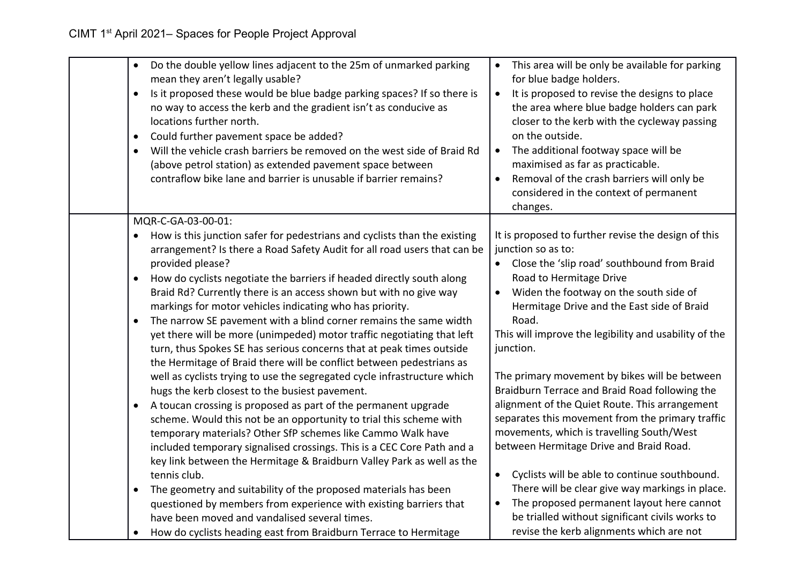| Do the double yellow lines adjacent to the 25m of unmarked parking<br>$\bullet$<br>mean they aren't legally usable?<br>Is it proposed these would be blue badge parking spaces? If so there is<br>$\bullet$<br>no way to access the kerb and the gradient isn't as conducive as<br>locations further north.<br>Could further pavement space be added?<br>$\bullet$<br>Will the vehicle crash barriers be removed on the west side of Braid Rd<br>$\bullet$<br>(above petrol station) as extended pavement space between<br>contraflow bike lane and barrier is unusable if barrier remains? | This area will be only be available for parking<br>for blue badge holders.<br>It is proposed to revise the designs to place<br>$\bullet$<br>the area where blue badge holders can park<br>closer to the kerb with the cycleway passing<br>on the outside.<br>The additional footway space will be<br>$\bullet$<br>maximised as far as practicable.<br>Removal of the crash barriers will only be<br>considered in the context of permanent<br>changes. |
|---------------------------------------------------------------------------------------------------------------------------------------------------------------------------------------------------------------------------------------------------------------------------------------------------------------------------------------------------------------------------------------------------------------------------------------------------------------------------------------------------------------------------------------------------------------------------------------------|--------------------------------------------------------------------------------------------------------------------------------------------------------------------------------------------------------------------------------------------------------------------------------------------------------------------------------------------------------------------------------------------------------------------------------------------------------|
| MQR-C-GA-03-00-01:<br>How is this junction safer for pedestrians and cyclists than the existing<br>$\bullet$<br>arrangement? Is there a Road Safety Audit for all road users that can be                                                                                                                                                                                                                                                                                                                                                                                                    | It is proposed to further revise the design of this<br>junction so as to:                                                                                                                                                                                                                                                                                                                                                                              |
| provided please?<br>How do cyclists negotiate the barriers if headed directly south along<br>$\bullet$<br>Braid Rd? Currently there is an access shown but with no give way<br>markings for motor vehicles indicating who has priority.                                                                                                                                                                                                                                                                                                                                                     | Close the 'slip road' southbound from Braid<br>Road to Hermitage Drive<br>Widen the footway on the south side of<br>$\bullet$<br>Hermitage Drive and the East side of Braid                                                                                                                                                                                                                                                                            |
| The narrow SE pavement with a blind corner remains the same width<br>$\bullet$<br>yet there will be more (unimpeded) motor traffic negotiating that left<br>turn, thus Spokes SE has serious concerns that at peak times outside<br>the Hermitage of Braid there will be conflict between pedestrians as                                                                                                                                                                                                                                                                                    | Road.<br>This will improve the legibility and usability of the<br>junction.                                                                                                                                                                                                                                                                                                                                                                            |
| well as cyclists trying to use the segregated cycle infrastructure which<br>hugs the kerb closest to the busiest pavement.                                                                                                                                                                                                                                                                                                                                                                                                                                                                  | The primary movement by bikes will be between<br>Braidburn Terrace and Braid Road following the                                                                                                                                                                                                                                                                                                                                                        |
| A toucan crossing is proposed as part of the permanent upgrade<br>$\bullet$<br>scheme. Would this not be an opportunity to trial this scheme with<br>temporary materials? Other SfP schemes like Cammo Walk have<br>included temporary signalised crossings. This is a CEC Core Path and a<br>key link between the Hermitage & Braidburn Valley Park as well as the                                                                                                                                                                                                                         | alignment of the Quiet Route. This arrangement<br>separates this movement from the primary traffic<br>movements, which is travelling South/West<br>between Hermitage Drive and Braid Road.                                                                                                                                                                                                                                                             |
| tennis club.<br>The geometry and suitability of the proposed materials has been<br>$\bullet$                                                                                                                                                                                                                                                                                                                                                                                                                                                                                                | Cyclists will be able to continue southbound.<br>There will be clear give way markings in place.                                                                                                                                                                                                                                                                                                                                                       |
| questioned by members from experience with existing barriers that<br>have been moved and vandalised several times.                                                                                                                                                                                                                                                                                                                                                                                                                                                                          | The proposed permanent layout here cannot<br>$\bullet$<br>be trialled without significant civils works to                                                                                                                                                                                                                                                                                                                                              |
| How do cyclists heading east from Braidburn Terrace to Hermitage<br>$\bullet$                                                                                                                                                                                                                                                                                                                                                                                                                                                                                                               | revise the kerb alignments which are not                                                                                                                                                                                                                                                                                                                                                                                                               |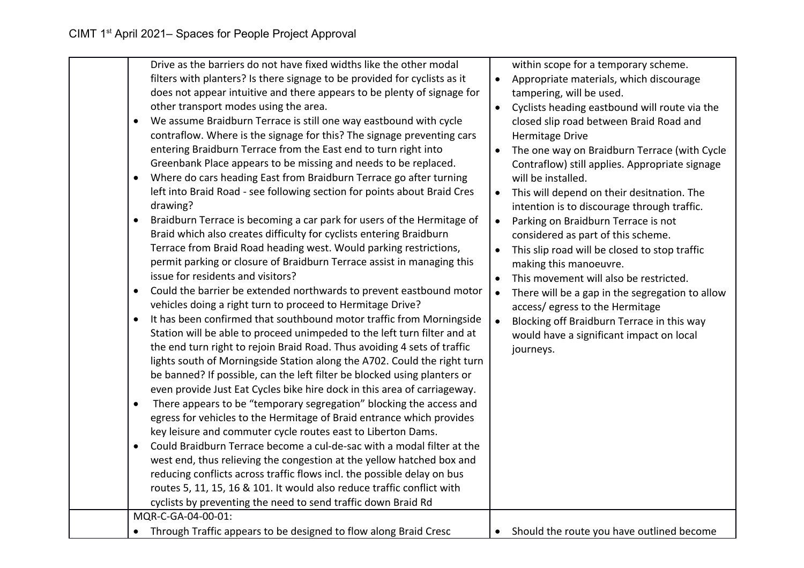| Drive as the barriers do not have fixed widths like the other modal<br>filters with planters? Is there signage to be provided for cyclists as it<br>does not appear intuitive and there appears to be plenty of signage for<br>other transport modes using the area.<br>We assume Braidburn Terrace is still one way eastbound with cycle<br>$\bullet$<br>contraflow. Where is the signage for this? The signage preventing cars<br>entering Braidburn Terrace from the East end to turn right into<br>Greenbank Place appears to be missing and needs to be replaced.<br>Where do cars heading East from Braidburn Terrace go after turning<br>left into Braid Road - see following section for points about Braid Cres<br>drawing?<br>Braidburn Terrace is becoming a car park for users of the Hermitage of<br>Braid which also creates difficulty for cyclists entering Braidburn<br>Terrace from Braid Road heading west. Would parking restrictions,<br>permit parking or closure of Braidburn Terrace assist in managing this<br>issue for residents and visitors?<br>Could the barrier be extended northwards to prevent eastbound motor<br>$\bullet$<br>vehicles doing a right turn to proceed to Hermitage Drive?<br>It has been confirmed that southbound motor traffic from Morningside<br>Station will be able to proceed unimpeded to the left turn filter and at<br>the end turn right to rejoin Braid Road. Thus avoiding 4 sets of traffic<br>lights south of Morningside Station along the A702. Could the right turn<br>be banned? If possible, can the left filter be blocked using planters or<br>even provide Just Eat Cycles bike hire dock in this area of carriageway.<br>There appears to be "temporary segregation" blocking the access and<br>$\bullet$<br>egress for vehicles to the Hermitage of Braid entrance which provides<br>key leisure and commuter cycle routes east to Liberton Dams.<br>Could Braidburn Terrace become a cul-de-sac with a modal filter at the<br>$\bullet$<br>west end, thus relieving the congestion at the yellow hatched box and<br>reducing conflicts across traffic flows incl. the possible delay on bus<br>routes 5, 11, 15, 16 & 101. It would also reduce traffic conflict with<br>cyclists by preventing the need to send traffic down Braid Rd<br>MQR-C-GA-04-00-01: | within scope for a temporary scheme.<br>Appropriate materials, which discourage<br>$\bullet$<br>tampering, will be used.<br>Cyclists heading eastbound will route via the<br>$\bullet$<br>closed slip road between Braid Road and<br><b>Hermitage Drive</b><br>The one way on Braidburn Terrace (with Cycle<br>Contraflow) still applies. Appropriate signage<br>will be installed.<br>This will depend on their desitnation. The<br>$\bullet$<br>intention is to discourage through traffic.<br>Parking on Braidburn Terrace is not<br>$\bullet$<br>considered as part of this scheme.<br>This slip road will be closed to stop traffic<br>$\bullet$<br>making this manoeuvre.<br>This movement will also be restricted.<br>$\bullet$<br>There will be a gap in the segregation to allow<br>$\bullet$<br>access/ egress to the Hermitage<br>Blocking off Braidburn Terrace in this way<br>$\bullet$<br>would have a significant impact on local<br>journeys. |
|------------------------------------------------------------------------------------------------------------------------------------------------------------------------------------------------------------------------------------------------------------------------------------------------------------------------------------------------------------------------------------------------------------------------------------------------------------------------------------------------------------------------------------------------------------------------------------------------------------------------------------------------------------------------------------------------------------------------------------------------------------------------------------------------------------------------------------------------------------------------------------------------------------------------------------------------------------------------------------------------------------------------------------------------------------------------------------------------------------------------------------------------------------------------------------------------------------------------------------------------------------------------------------------------------------------------------------------------------------------------------------------------------------------------------------------------------------------------------------------------------------------------------------------------------------------------------------------------------------------------------------------------------------------------------------------------------------------------------------------------------------------------------------------------------------------------------------------------------------------------------------------------------------------------------------------------------------------------------------------------------------------------------------------------------------------------------------------------------------------------------------------------------------------------------------------------------------------------------------------------------------------------------------------------------------------------------------------|---------------------------------------------------------------------------------------------------------------------------------------------------------------------------------------------------------------------------------------------------------------------------------------------------------------------------------------------------------------------------------------------------------------------------------------------------------------------------------------------------------------------------------------------------------------------------------------------------------------------------------------------------------------------------------------------------------------------------------------------------------------------------------------------------------------------------------------------------------------------------------------------------------------------------------------------------------------|
| Through Traffic appears to be designed to flow along Braid Cresc                                                                                                                                                                                                                                                                                                                                                                                                                                                                                                                                                                                                                                                                                                                                                                                                                                                                                                                                                                                                                                                                                                                                                                                                                                                                                                                                                                                                                                                                                                                                                                                                                                                                                                                                                                                                                                                                                                                                                                                                                                                                                                                                                                                                                                                                         | Should the route you have outlined become<br>$\bullet$                                                                                                                                                                                                                                                                                                                                                                                                                                                                                                                                                                                                                                                                                                                                                                                                                                                                                                        |
|                                                                                                                                                                                                                                                                                                                                                                                                                                                                                                                                                                                                                                                                                                                                                                                                                                                                                                                                                                                                                                                                                                                                                                                                                                                                                                                                                                                                                                                                                                                                                                                                                                                                                                                                                                                                                                                                                                                                                                                                                                                                                                                                                                                                                                                                                                                                          |                                                                                                                                                                                                                                                                                                                                                                                                                                                                                                                                                                                                                                                                                                                                                                                                                                                                                                                                                               |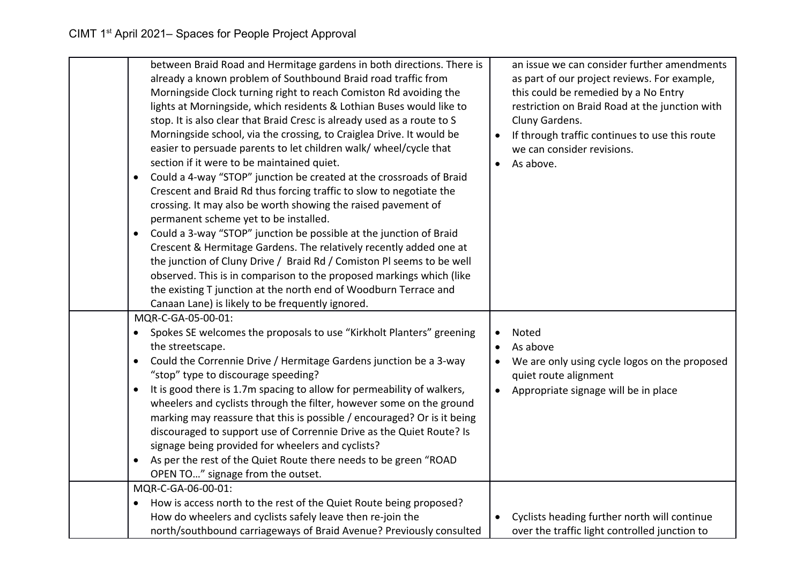| between Braid Road and Hermitage gardens in both directions. There is<br>already a known problem of Southbound Braid road traffic from<br>Morningside Clock turning right to reach Comiston Rd avoiding the<br>lights at Morningside, which residents & Lothian Buses would like to<br>stop. It is also clear that Braid Cresc is already used as a route to S<br>Morningside school, via the crossing, to Craiglea Drive. It would be<br>easier to persuade parents to let children walk/ wheel/cycle that<br>section if it were to be maintained quiet.<br>Could a 4-way "STOP" junction be created at the crossroads of Braid<br>$\bullet$<br>Crescent and Braid Rd thus forcing traffic to slow to negotiate the<br>crossing. It may also be worth showing the raised pavement of<br>permanent scheme yet to be installed.<br>Could a 3-way "STOP" junction be possible at the junction of Braid<br>$\bullet$<br>Crescent & Hermitage Gardens. The relatively recently added one at<br>the junction of Cluny Drive / Braid Rd / Comiston Pl seems to be well<br>observed. This is in comparison to the proposed markings which (like<br>the existing T junction at the north end of Woodburn Terrace and<br>Canaan Lane) is likely to be frequently ignored. |           | an issue we can consider further amendments<br>as part of our project reviews. For example,<br>this could be remedied by a No Entry<br>restriction on Braid Road at the junction with<br>Cluny Gardens.<br>If through traffic continues to use this route<br>we can consider revisions.<br>As above. |
|------------------------------------------------------------------------------------------------------------------------------------------------------------------------------------------------------------------------------------------------------------------------------------------------------------------------------------------------------------------------------------------------------------------------------------------------------------------------------------------------------------------------------------------------------------------------------------------------------------------------------------------------------------------------------------------------------------------------------------------------------------------------------------------------------------------------------------------------------------------------------------------------------------------------------------------------------------------------------------------------------------------------------------------------------------------------------------------------------------------------------------------------------------------------------------------------------------------------------------------------------------------|-----------|------------------------------------------------------------------------------------------------------------------------------------------------------------------------------------------------------------------------------------------------------------------------------------------------------|
| MQR-C-GA-05-00-01:<br>Spokes SE welcomes the proposals to use "Kirkholt Planters" greening<br>$\bullet$<br>the streetscape.<br>Could the Corrennie Drive / Hermitage Gardens junction be a 3-way<br>$\bullet$<br>"stop" type to discourage speeding?<br>It is good there is 1.7m spacing to allow for permeability of walkers,<br>$\bullet$<br>wheelers and cyclists through the filter, however some on the ground<br>marking may reassure that this is possible / encouraged? Or is it being<br>discouraged to support use of Corrennie Drive as the Quiet Route? Is<br>signage being provided for wheelers and cyclists?<br>As per the rest of the Quiet Route there needs to be green "ROAD<br>$\bullet$<br>OPEN TO" signage from the outset.                                                                                                                                                                                                                                                                                                                                                                                                                                                                                                                | ٠         | Noted<br>As above<br>We are only using cycle logos on the proposed<br>quiet route alignment<br>Appropriate signage will be in place                                                                                                                                                                  |
| MQR-C-GA-06-00-01:<br>How is access north to the rest of the Quiet Route being proposed?<br>$\bullet$<br>How do wheelers and cyclists safely leave then re-join the<br>north/southbound carriageways of Braid Avenue? Previously consulted                                                                                                                                                                                                                                                                                                                                                                                                                                                                                                                                                                                                                                                                                                                                                                                                                                                                                                                                                                                                                       | $\bullet$ | Cyclists heading further north will continue<br>over the traffic light controlled junction to                                                                                                                                                                                                        |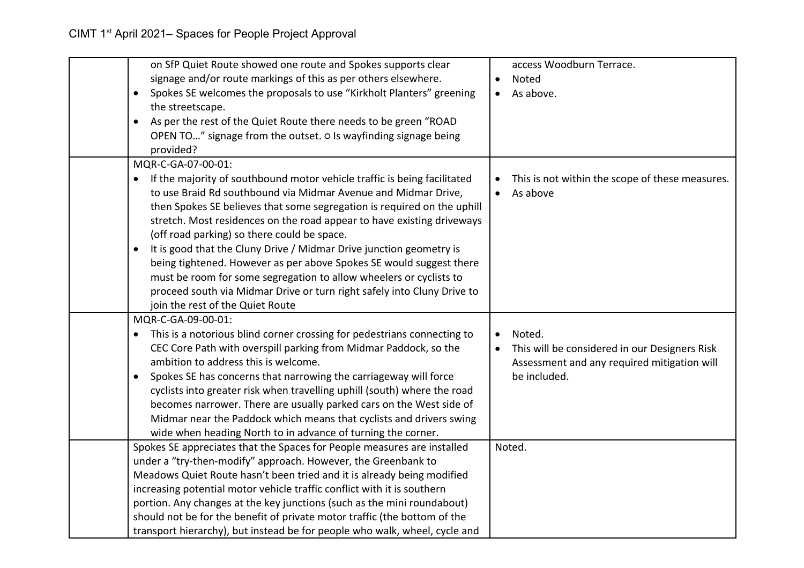| on SfP Quiet Route showed one route and Spokes supports clear                     |           | access Woodburn Terrace.                        |
|-----------------------------------------------------------------------------------|-----------|-------------------------------------------------|
|                                                                                   |           |                                                 |
| signage and/or route markings of this as per others elsewhere.                    | $\bullet$ | Noted                                           |
| Spokes SE welcomes the proposals to use "Kirkholt Planters" greening<br>$\bullet$ |           | As above.                                       |
| the streetscape.                                                                  |           |                                                 |
| As per the rest of the Quiet Route there needs to be green "ROAD<br>$\bullet$     |           |                                                 |
| OPEN TO" signage from the outset. o Is wayfinding signage being                   |           |                                                 |
| provided?                                                                         |           |                                                 |
| MQR-C-GA-07-00-01:                                                                |           |                                                 |
| If the majority of southbound motor vehicle traffic is being facilitated          |           | This is not within the scope of these measures. |
| to use Braid Rd southbound via Midmar Avenue and Midmar Drive,                    |           | As above                                        |
| then Spokes SE believes that some segregation is required on the uphill           |           |                                                 |
| stretch. Most residences on the road appear to have existing driveways            |           |                                                 |
| (off road parking) so there could be space.                                       |           |                                                 |
| It is good that the Cluny Drive / Midmar Drive junction geometry is               |           |                                                 |
| being tightened. However as per above Spokes SE would suggest there               |           |                                                 |
| must be room for some segregation to allow wheelers or cyclists to                |           |                                                 |
| proceed south via Midmar Drive or turn right safely into Cluny Drive to           |           |                                                 |
| join the rest of the Quiet Route                                                  |           |                                                 |
| MQR-C-GA-09-00-01:                                                                |           |                                                 |
| This is a notorious blind corner crossing for pedestrians connecting to           |           | Noted.                                          |
| CEC Core Path with overspill parking from Midmar Paddock, so the                  |           | This will be considered in our Designers Risk   |
| ambition to address this is welcome.                                              |           | Assessment and any required mitigation will     |
| Spokes SE has concerns that narrowing the carriageway will force                  |           | be included.                                    |
| cyclists into greater risk when travelling uphill (south) where the road          |           |                                                 |
| becomes narrower. There are usually parked cars on the West side of               |           |                                                 |
| Midmar near the Paddock which means that cyclists and drivers swing               |           |                                                 |
| wide when heading North to in advance of turning the corner.                      |           |                                                 |
| Spokes SE appreciates that the Spaces for People measures are installed           |           | Noted.                                          |
| under a "try-then-modify" approach. However, the Greenbank to                     |           |                                                 |
| Meadows Quiet Route hasn't been tried and it is already being modified            |           |                                                 |
| increasing potential motor vehicle traffic conflict with it is southern           |           |                                                 |
| portion. Any changes at the key junctions (such as the mini roundabout)           |           |                                                 |
| should not be for the benefit of private motor traffic (the bottom of the         |           |                                                 |
| transport hierarchy), but instead be for people who walk, wheel, cycle and        |           |                                                 |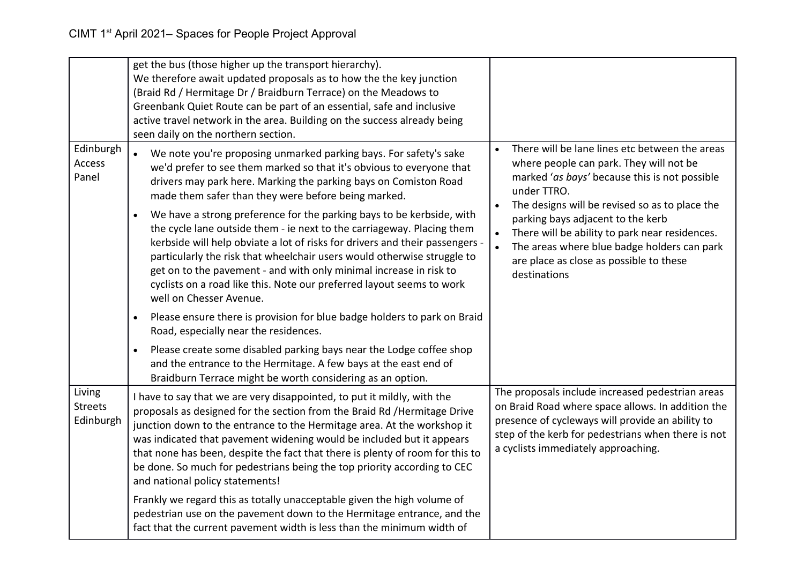|                                       | get the bus (those higher up the transport hierarchy).<br>We therefore await updated proposals as to how the the key junction<br>(Braid Rd / Hermitage Dr / Braidburn Terrace) on the Meadows to<br>Greenbank Quiet Route can be part of an essential, safe and inclusive<br>active travel network in the area. Building on the success already being<br>seen daily on the northern section.                                                                                                             |                                                                                                                                                                                                                                                        |
|---------------------------------------|----------------------------------------------------------------------------------------------------------------------------------------------------------------------------------------------------------------------------------------------------------------------------------------------------------------------------------------------------------------------------------------------------------------------------------------------------------------------------------------------------------|--------------------------------------------------------------------------------------------------------------------------------------------------------------------------------------------------------------------------------------------------------|
| Edinburgh<br>Access<br>Panel          | We note you're proposing unmarked parking bays. For safety's sake<br>we'd prefer to see them marked so that it's obvious to everyone that<br>drivers may park here. Marking the parking bays on Comiston Road<br>made them safer than they were before being marked.                                                                                                                                                                                                                                     | There will be lane lines etc between the areas<br>where people can park. They will not be<br>marked 'as bays' because this is not possible<br>under TTRO.<br>The designs will be revised so as to place the<br>$\bullet$                               |
|                                       | We have a strong preference for the parking bays to be kerbside, with<br>$\bullet$<br>the cycle lane outside them - ie next to the carriageway. Placing them<br>kerbside will help obviate a lot of risks for drivers and their passengers -<br>particularly the risk that wheelchair users would otherwise struggle to<br>get on to the pavement - and with only minimal increase in risk to<br>cyclists on a road like this. Note our preferred layout seems to work<br>well on Chesser Avenue.        | parking bays adjacent to the kerb<br>There will be ability to park near residences.<br>$\bullet$<br>The areas where blue badge holders can park<br>are place as close as possible to these<br>destinations                                             |
|                                       | Please ensure there is provision for blue badge holders to park on Braid<br>$\bullet$<br>Road, especially near the residences.                                                                                                                                                                                                                                                                                                                                                                           |                                                                                                                                                                                                                                                        |
|                                       | Please create some disabled parking bays near the Lodge coffee shop<br>$\bullet$<br>and the entrance to the Hermitage. A few bays at the east end of<br>Braidburn Terrace might be worth considering as an option.                                                                                                                                                                                                                                                                                       |                                                                                                                                                                                                                                                        |
| Living<br><b>Streets</b><br>Edinburgh | I have to say that we are very disappointed, to put it mildly, with the<br>proposals as designed for the section from the Braid Rd / Hermitage Drive<br>junction down to the entrance to the Hermitage area. At the workshop it<br>was indicated that pavement widening would be included but it appears<br>that none has been, despite the fact that there is plenty of room for this to<br>be done. So much for pedestrians being the top priority according to CEC<br>and national policy statements! | The proposals include increased pedestrian areas<br>on Braid Road where space allows. In addition the<br>presence of cycleways will provide an ability to<br>step of the kerb for pedestrians when there is not<br>a cyclists immediately approaching. |
|                                       | Frankly we regard this as totally unacceptable given the high volume of<br>pedestrian use on the pavement down to the Hermitage entrance, and the<br>fact that the current pavement width is less than the minimum width of                                                                                                                                                                                                                                                                              |                                                                                                                                                                                                                                                        |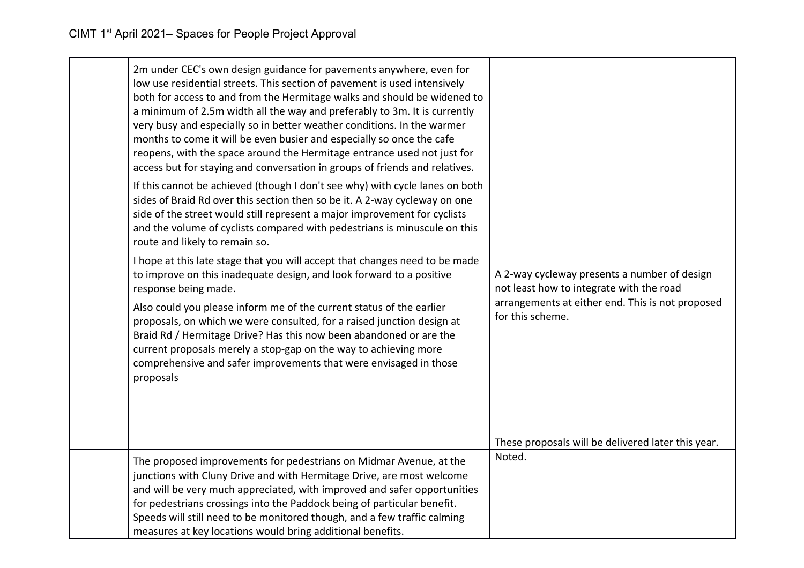| 2m under CEC's own design guidance for pavements anywhere, even for<br>low use residential streets. This section of pavement is used intensively<br>both for access to and from the Hermitage walks and should be widened to<br>a minimum of 2.5m width all the way and preferably to 3m. It is currently<br>very busy and especially so in better weather conditions. In the warmer<br>months to come it will be even busier and especially so once the cafe<br>reopens, with the space around the Hermitage entrance used not just for<br>access but for staying and conversation in groups of friends and relatives.<br>If this cannot be achieved (though I don't see why) with cycle lanes on both<br>sides of Braid Rd over this section then so be it. A 2-way cycleway on one<br>side of the street would still represent a major improvement for cyclists<br>and the volume of cyclists compared with pedestrians is minuscule on this<br>route and likely to remain so.<br>I hope at this late stage that you will accept that changes need to be made<br>to improve on this inadequate design, and look forward to a positive<br>response being made.<br>Also could you please inform me of the current status of the earlier<br>proposals, on which we were consulted, for a raised junction design at<br>Braid Rd / Hermitage Drive? Has this now been abandoned or are the<br>current proposals merely a stop-gap on the way to achieving more<br>comprehensive and safer improvements that were envisaged in those<br>proposals | A 2-way cycleway presents a number of design<br>not least how to integrate with the road<br>arrangements at either end. This is not proposed<br>for this scheme. |
|------------------------------------------------------------------------------------------------------------------------------------------------------------------------------------------------------------------------------------------------------------------------------------------------------------------------------------------------------------------------------------------------------------------------------------------------------------------------------------------------------------------------------------------------------------------------------------------------------------------------------------------------------------------------------------------------------------------------------------------------------------------------------------------------------------------------------------------------------------------------------------------------------------------------------------------------------------------------------------------------------------------------------------------------------------------------------------------------------------------------------------------------------------------------------------------------------------------------------------------------------------------------------------------------------------------------------------------------------------------------------------------------------------------------------------------------------------------------------------------------------------------------------------------------|------------------------------------------------------------------------------------------------------------------------------------------------------------------|
|                                                                                                                                                                                                                                                                                                                                                                                                                                                                                                                                                                                                                                                                                                                                                                                                                                                                                                                                                                                                                                                                                                                                                                                                                                                                                                                                                                                                                                                                                                                                                | These proposals will be delivered later this year.                                                                                                               |
| The proposed improvements for pedestrians on Midmar Avenue, at the<br>junctions with Cluny Drive and with Hermitage Drive, are most welcome<br>and will be very much appreciated, with improved and safer opportunities<br>for pedestrians crossings into the Paddock being of particular benefit.<br>Speeds will still need to be monitored though, and a few traffic calming<br>measures at key locations would bring additional benefits.                                                                                                                                                                                                                                                                                                                                                                                                                                                                                                                                                                                                                                                                                                                                                                                                                                                                                                                                                                                                                                                                                                   | Noted.                                                                                                                                                           |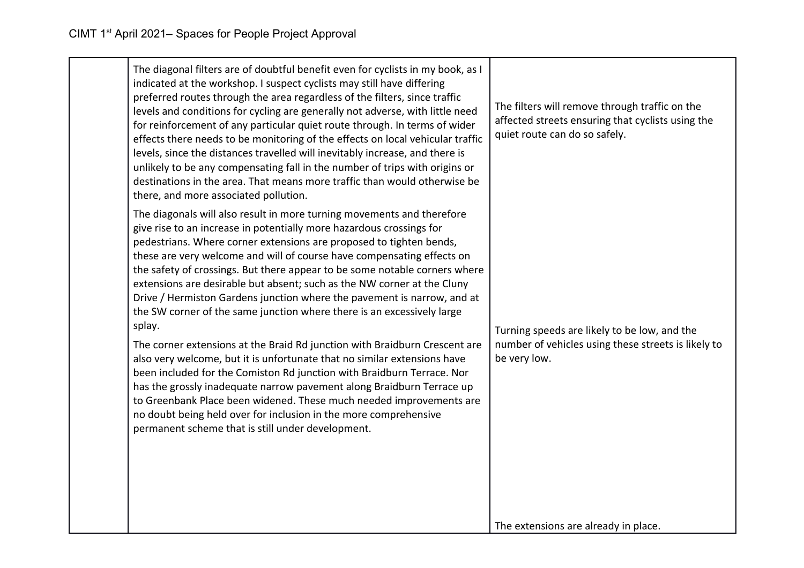| The diagonal filters are of doubtful benefit even for cyclists in my book, as I<br>indicated at the workshop. I suspect cyclists may still have differing<br>preferred routes through the area regardless of the filters, since traffic<br>levels and conditions for cycling are generally not adverse, with little need<br>for reinforcement of any particular quiet route through. In terms of wider<br>effects there needs to be monitoring of the effects on local vehicular traffic<br>levels, since the distances travelled will inevitably increase, and there is<br>unlikely to be any compensating fall in the number of trips with origins or<br>destinations in the area. That means more traffic than would otherwise be<br>there, and more associated pollution.                                                                                                                                                                                                                                                                                                                                                        | The filters will remove through traffic on the<br>affected streets ensuring that cyclists using the<br>quiet route can do so safely. |
|--------------------------------------------------------------------------------------------------------------------------------------------------------------------------------------------------------------------------------------------------------------------------------------------------------------------------------------------------------------------------------------------------------------------------------------------------------------------------------------------------------------------------------------------------------------------------------------------------------------------------------------------------------------------------------------------------------------------------------------------------------------------------------------------------------------------------------------------------------------------------------------------------------------------------------------------------------------------------------------------------------------------------------------------------------------------------------------------------------------------------------------|--------------------------------------------------------------------------------------------------------------------------------------|
| The diagonals will also result in more turning movements and therefore<br>give rise to an increase in potentially more hazardous crossings for<br>pedestrians. Where corner extensions are proposed to tighten bends,<br>these are very welcome and will of course have compensating effects on<br>the safety of crossings. But there appear to be some notable corners where<br>extensions are desirable but absent; such as the NW corner at the Cluny<br>Drive / Hermiston Gardens junction where the pavement is narrow, and at<br>the SW corner of the same junction where there is an excessively large<br>splay.<br>The corner extensions at the Braid Rd junction with Braidburn Crescent are<br>also very welcome, but it is unfortunate that no similar extensions have<br>been included for the Comiston Rd junction with Braidburn Terrace. Nor<br>has the grossly inadequate narrow pavement along Braidburn Terrace up<br>to Greenbank Place been widened. These much needed improvements are<br>no doubt being held over for inclusion in the more comprehensive<br>permanent scheme that is still under development. | Turning speeds are likely to be low, and the<br>number of vehicles using these streets is likely to<br>be very low.                  |
|                                                                                                                                                                                                                                                                                                                                                                                                                                                                                                                                                                                                                                                                                                                                                                                                                                                                                                                                                                                                                                                                                                                                      | The extensions are already in place.                                                                                                 |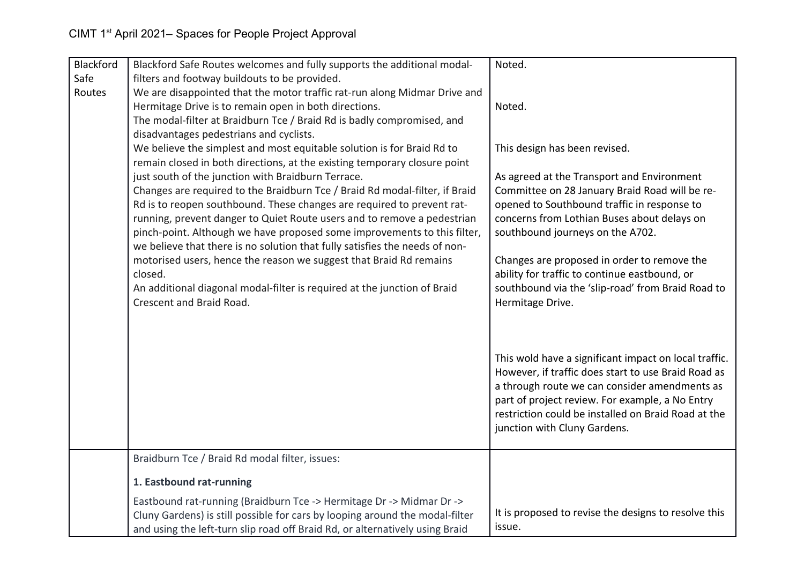| Blackford | Blackford Safe Routes welcomes and fully supports the additional modal-                                                            | Noted.                                                |
|-----------|------------------------------------------------------------------------------------------------------------------------------------|-------------------------------------------------------|
| Safe      | filters and footway buildouts to be provided.                                                                                      |                                                       |
| Routes    | We are disappointed that the motor traffic rat-run along Midmar Drive and<br>Hermitage Drive is to remain open in both directions. | Noted.                                                |
|           | The modal-filter at Braidburn Tce / Braid Rd is badly compromised, and                                                             |                                                       |
|           | disadvantages pedestrians and cyclists.                                                                                            |                                                       |
|           | We believe the simplest and most equitable solution is for Braid Rd to                                                             | This design has been revised.                         |
|           | remain closed in both directions, at the existing temporary closure point                                                          |                                                       |
|           | just south of the junction with Braidburn Terrace.                                                                                 | As agreed at the Transport and Environment            |
|           | Changes are required to the Braidburn Tce / Braid Rd modal-filter, if Braid                                                        | Committee on 28 January Braid Road will be re-        |
|           | Rd is to reopen southbound. These changes are required to prevent rat-                                                             | opened to Southbound traffic in response to           |
|           | running, prevent danger to Quiet Route users and to remove a pedestrian                                                            | concerns from Lothian Buses about delays on           |
|           | pinch-point. Although we have proposed some improvements to this filter,                                                           | southbound journeys on the A702.                      |
|           | we believe that there is no solution that fully satisfies the needs of non-                                                        |                                                       |
|           | motorised users, hence the reason we suggest that Braid Rd remains                                                                 | Changes are proposed in order to remove the           |
|           | closed.                                                                                                                            | ability for traffic to continue eastbound, or         |
|           | An additional diagonal modal-filter is required at the junction of Braid                                                           | southbound via the 'slip-road' from Braid Road to     |
|           | Crescent and Braid Road.                                                                                                           | Hermitage Drive.                                      |
|           |                                                                                                                                    |                                                       |
|           |                                                                                                                                    |                                                       |
|           |                                                                                                                                    | This wold have a significant impact on local traffic. |
|           |                                                                                                                                    | However, if traffic does start to use Braid Road as   |
|           |                                                                                                                                    | a through route we can consider amendments as         |
|           |                                                                                                                                    | part of project review. For example, a No Entry       |
|           |                                                                                                                                    | restriction could be installed on Braid Road at the   |
|           |                                                                                                                                    | junction with Cluny Gardens.                          |
|           |                                                                                                                                    |                                                       |
|           | Braidburn Tce / Braid Rd modal filter, issues:                                                                                     |                                                       |
|           | 1. Eastbound rat-running                                                                                                           |                                                       |
|           | Eastbound rat-running (Braidburn Tce -> Hermitage Dr -> Midmar Dr ->                                                               |                                                       |
|           | Cluny Gardens) is still possible for cars by looping around the modal-filter                                                       | It is proposed to revise the designs to resolve this  |
|           | and using the left-turn slip road off Braid Rd, or alternatively using Braid                                                       | issue.                                                |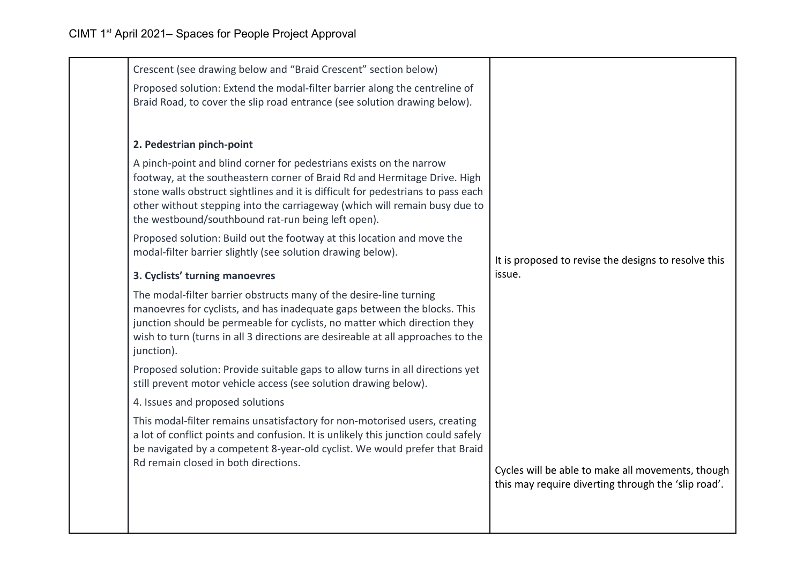| Crescent (see drawing below and "Braid Crescent" section below)                                                                                                                                                                                                                                                                                                          |                                                                                                          |  |
|--------------------------------------------------------------------------------------------------------------------------------------------------------------------------------------------------------------------------------------------------------------------------------------------------------------------------------------------------------------------------|----------------------------------------------------------------------------------------------------------|--|
| Proposed solution: Extend the modal-filter barrier along the centreline of<br>Braid Road, to cover the slip road entrance (see solution drawing below).                                                                                                                                                                                                                  |                                                                                                          |  |
| 2. Pedestrian pinch-point                                                                                                                                                                                                                                                                                                                                                |                                                                                                          |  |
| A pinch-point and blind corner for pedestrians exists on the narrow<br>footway, at the southeastern corner of Braid Rd and Hermitage Drive. High<br>stone walls obstruct sightlines and it is difficult for pedestrians to pass each<br>other without stepping into the carriageway (which will remain busy due to<br>the westbound/southbound rat-run being left open). |                                                                                                          |  |
| Proposed solution: Build out the footway at this location and move the<br>modal-filter barrier slightly (see solution drawing below).                                                                                                                                                                                                                                    | It is proposed to revise the designs to resolve this<br>issue.                                           |  |
| 3. Cyclists' turning manoevres                                                                                                                                                                                                                                                                                                                                           |                                                                                                          |  |
| The modal-filter barrier obstructs many of the desire-line turning<br>manoevres for cyclists, and has inadequate gaps between the blocks. This<br>junction should be permeable for cyclists, no matter which direction they<br>wish to turn (turns in all 3 directions are desireable at all approaches to the<br>junction).                                             |                                                                                                          |  |
| Proposed solution: Provide suitable gaps to allow turns in all directions yet<br>still prevent motor vehicle access (see solution drawing below).                                                                                                                                                                                                                        |                                                                                                          |  |
| 4. Issues and proposed solutions                                                                                                                                                                                                                                                                                                                                         |                                                                                                          |  |
| This modal-filter remains unsatisfactory for non-motorised users, creating<br>a lot of conflict points and confusion. It is unlikely this junction could safely<br>be navigated by a competent 8-year-old cyclist. We would prefer that Braid<br>Rd remain closed in both directions.                                                                                    | Cycles will be able to make all movements, though<br>this may require diverting through the 'slip road'. |  |
|                                                                                                                                                                                                                                                                                                                                                                          |                                                                                                          |  |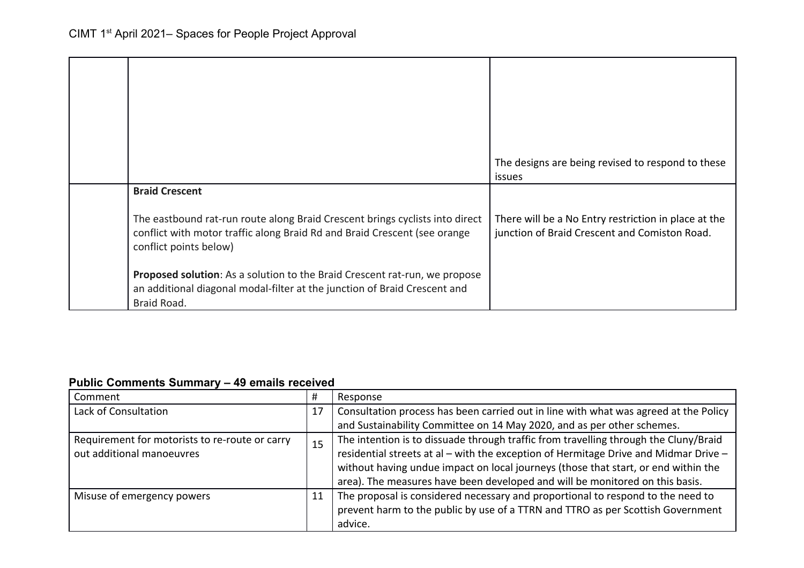|                                                                                                                                                                                     | The designs are being revised to respond to these<br><i>issues</i>                                    |
|-------------------------------------------------------------------------------------------------------------------------------------------------------------------------------------|-------------------------------------------------------------------------------------------------------|
| <b>Braid Crescent</b>                                                                                                                                                               |                                                                                                       |
| The eastbound rat-run route along Braid Crescent brings cyclists into direct<br>conflict with motor traffic along Braid Rd and Braid Crescent (see orange<br>conflict points below) | There will be a No Entry restriction in place at the<br>junction of Braid Crescent and Comiston Road. |
| <b>Proposed solution:</b> As a solution to the Braid Crescent rat-run, we propose<br>an additional diagonal modal-filter at the junction of Braid Crescent and<br>Braid Road.       |                                                                                                       |

## **Public Comments Summary – 49 emails received**

| Comment                                        | #  | Response                                                                             |
|------------------------------------------------|----|--------------------------------------------------------------------------------------|
| Lack of Consultation                           | 17 | Consultation process has been carried out in line with what was agreed at the Policy |
|                                                |    | and Sustainability Committee on 14 May 2020, and as per other schemes.               |
| Requirement for motorists to re-route or carry | 15 | The intention is to dissuade through traffic from travelling through the Cluny/Braid |
| out additional manoeuvres                      |    | residential streets at al - with the exception of Hermitage Drive and Midmar Drive - |
|                                                |    | without having undue impact on local journeys (those that start, or end within the   |
|                                                |    | area). The measures have been developed and will be monitored on this basis.         |
| Misuse of emergency powers                     | 11 | The proposal is considered necessary and proportional to respond to the need to      |
|                                                |    | prevent harm to the public by use of a TTRN and TTRO as per Scottish Government      |
|                                                |    | advice.                                                                              |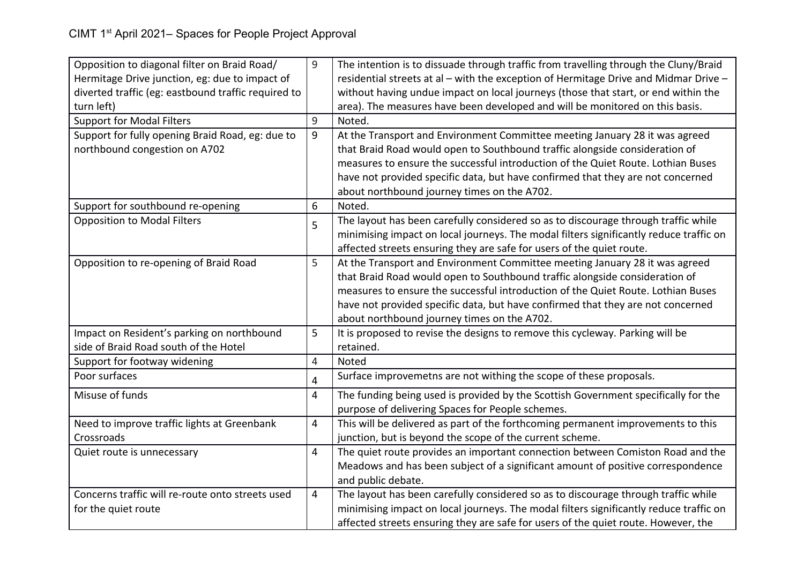| Opposition to diagonal filter on Braid Road/        | 9              | The intention is to dissuade through traffic from travelling through the Cluny/Braid   |
|-----------------------------------------------------|----------------|----------------------------------------------------------------------------------------|
| Hermitage Drive junction, eg: due to impact of      |                | residential streets at al - with the exception of Hermitage Drive and Midmar Drive -   |
| diverted traffic (eg: eastbound traffic required to |                | without having undue impact on local journeys (those that start, or end within the     |
| turn left)                                          |                | area). The measures have been developed and will be monitored on this basis.           |
| <b>Support for Modal Filters</b>                    | 9              | Noted.                                                                                 |
| Support for fully opening Braid Road, eg: due to    | 9              | At the Transport and Environment Committee meeting January 28 it was agreed            |
| northbound congestion on A702                       |                | that Braid Road would open to Southbound traffic alongside consideration of            |
|                                                     |                | measures to ensure the successful introduction of the Quiet Route. Lothian Buses       |
|                                                     |                | have not provided specific data, but have confirmed that they are not concerned        |
|                                                     |                | about northbound journey times on the A702.                                            |
| Support for southbound re-opening                   | 6              | Noted.                                                                                 |
| <b>Opposition to Modal Filters</b>                  | 5              | The layout has been carefully considered so as to discourage through traffic while     |
|                                                     |                | minimising impact on local journeys. The modal filters significantly reduce traffic on |
|                                                     |                | affected streets ensuring they are safe for users of the quiet route.                  |
| Opposition to re-opening of Braid Road              | 5              | At the Transport and Environment Committee meeting January 28 it was agreed            |
|                                                     |                | that Braid Road would open to Southbound traffic alongside consideration of            |
|                                                     |                | measures to ensure the successful introduction of the Quiet Route. Lothian Buses       |
|                                                     |                | have not provided specific data, but have confirmed that they are not concerned        |
|                                                     |                | about northbound journey times on the A702.                                            |
| Impact on Resident's parking on northbound          | 5              | It is proposed to revise the designs to remove this cycleway. Parking will be          |
| side of Braid Road south of the Hotel               |                | retained.                                                                              |
| Support for footway widening                        | 4              | Noted                                                                                  |
| Poor surfaces                                       | 4              | Surface improvemetns are not withing the scope of these proposals.                     |
| Misuse of funds                                     | 4              | The funding being used is provided by the Scottish Government specifically for the     |
|                                                     |                | purpose of delivering Spaces for People schemes.                                       |
| Need to improve traffic lights at Greenbank         | $\overline{4}$ | This will be delivered as part of the forthcoming permanent improvements to this       |
| Crossroads                                          |                | junction, but is beyond the scope of the current scheme.                               |
| Quiet route is unnecessary                          | $\overline{4}$ | The quiet route provides an important connection between Comiston Road and the         |
|                                                     |                | Meadows and has been subject of a significant amount of positive correspondence        |
|                                                     |                | and public debate.                                                                     |
| Concerns traffic will re-route onto streets used    | 4              | The layout has been carefully considered so as to discourage through traffic while     |
| for the quiet route                                 |                | minimising impact on local journeys. The modal filters significantly reduce traffic on |
|                                                     |                | affected streets ensuring they are safe for users of the quiet route. However, the     |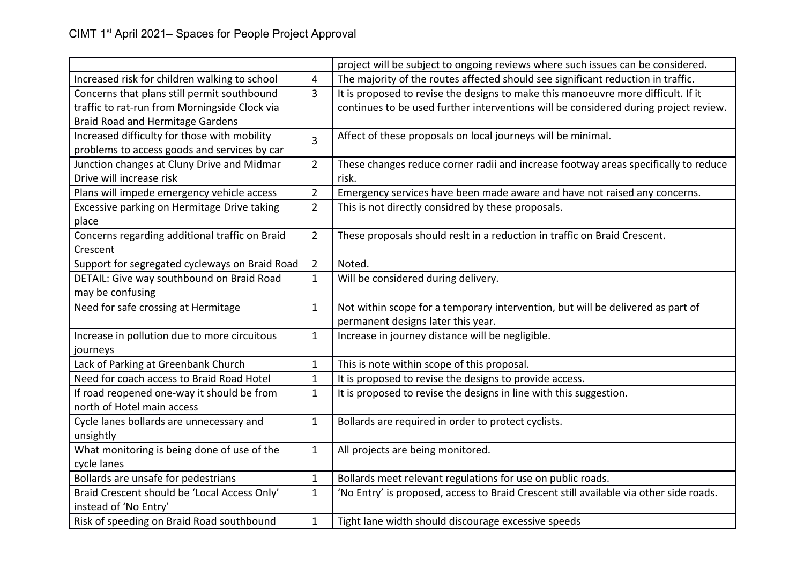|                                                |                | project will be subject to ongoing reviews where such issues can be considered.        |
|------------------------------------------------|----------------|----------------------------------------------------------------------------------------|
| Increased risk for children walking to school  | 4              | The majority of the routes affected should see significant reduction in traffic.       |
| Concerns that plans still permit southbound    | 3              | It is proposed to revise the designs to make this manoeuvre more difficult. If it      |
| traffic to rat-run from Morningside Clock via  |                | continues to be used further interventions will be considered during project review.   |
| <b>Braid Road and Hermitage Gardens</b>        |                |                                                                                        |
| Increased difficulty for those with mobility   | 3              | Affect of these proposals on local journeys will be minimal.                           |
| problems to access goods and services by car   |                |                                                                                        |
| Junction changes at Cluny Drive and Midmar     | $\overline{2}$ | These changes reduce corner radii and increase footway areas specifically to reduce    |
| Drive will increase risk                       |                | risk.                                                                                  |
| Plans will impede emergency vehicle access     | $\overline{2}$ | Emergency services have been made aware and have not raised any concerns.              |
| Excessive parking on Hermitage Drive taking    | $\overline{2}$ | This is not directly considred by these proposals.                                     |
| place                                          |                |                                                                                        |
| Concerns regarding additional traffic on Braid | $\overline{2}$ | These proposals should reslt in a reduction in traffic on Braid Crescent.              |
| Crescent                                       |                |                                                                                        |
| Support for segregated cycleways on Braid Road | $\overline{2}$ | Noted.                                                                                 |
| DETAIL: Give way southbound on Braid Road      | $\mathbf{1}$   | Will be considered during delivery.                                                    |
| may be confusing                               |                |                                                                                        |
| Need for safe crossing at Hermitage            | $\mathbf 1$    | Not within scope for a temporary intervention, but will be delivered as part of        |
|                                                |                | permanent designs later this year.                                                     |
| Increase in pollution due to more circuitous   | $\mathbf 1$    | Increase in journey distance will be negligible.                                       |
| journeys                                       |                |                                                                                        |
| Lack of Parking at Greenbank Church            | 1              | This is note within scope of this proposal.                                            |
| Need for coach access to Braid Road Hotel      | $\mathbf 1$    | It is proposed to revise the designs to provide access.                                |
| If road reopened one-way it should be from     | $\mathbf{1}$   | It is proposed to revise the designs in line with this suggestion.                     |
| north of Hotel main access                     |                |                                                                                        |
| Cycle lanes bollards are unnecessary and       | $\mathbf{1}$   | Bollards are required in order to protect cyclists.                                    |
| unsightly                                      |                |                                                                                        |
| What monitoring is being done of use of the    | $\mathbf{1}$   | All projects are being monitored.                                                      |
| cycle lanes                                    |                |                                                                                        |
| Bollards are unsafe for pedestrians            | 1              | Bollards meet relevant regulations for use on public roads.                            |
| Braid Crescent should be 'Local Access Only'   | $\mathbf{1}$   | 'No Entry' is proposed, access to Braid Crescent still available via other side roads. |
| instead of 'No Entry'                          |                |                                                                                        |
| Risk of speeding on Braid Road southbound      | $\mathbf 1$    | Tight lane width should discourage excessive speeds                                    |